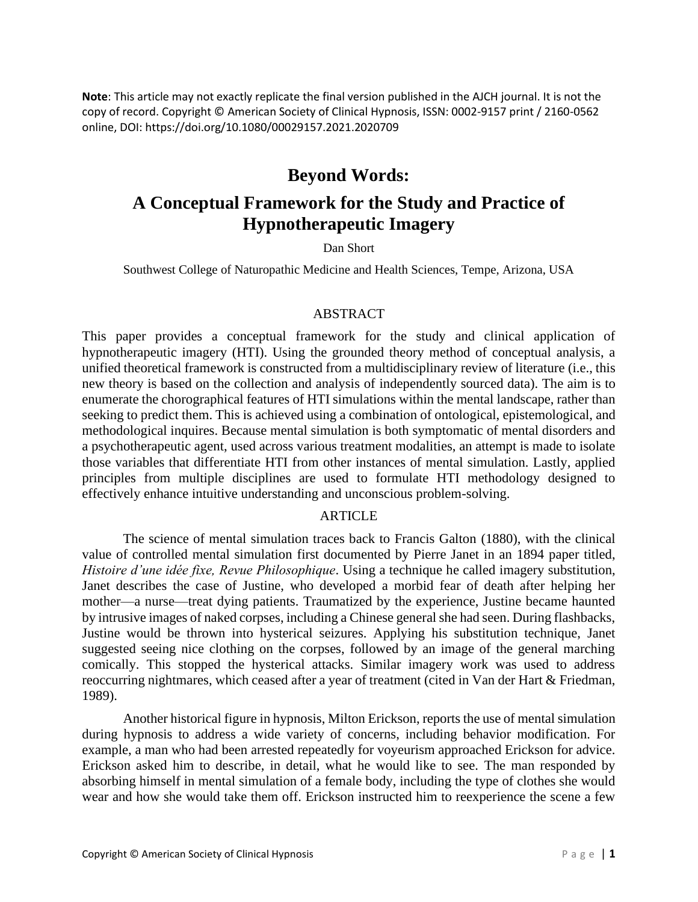**Note**: This article may not exactly replicate the final version published in the AJCH journal. It is not the copy of record. Copyright © American Society of Clinical Hypnosis, ISSN: 0002-9157 print / 2160-0562 online, DOI: https://doi.org/10.1080/00029157.2021.2020709

## **Beyond Words:**

# **A Conceptual Framework for the Study and Practice of Hypnotherapeutic Imagery**

Dan Short

Southwest College of Naturopathic Medicine and Health Sciences, Tempe, Arizona, USA

#### ABSTRACT

This paper provides a conceptual framework for the study and clinical application of hypnotherapeutic imagery (HTI). Using the grounded theory method of conceptual analysis, a unified theoretical framework is constructed from a multidisciplinary review of literature (i.e., this new theory is based on the collection and analysis of independently sourced data). The aim is to enumerate the chorographical features of HTI simulations within the mental landscape, rather than seeking to predict them. This is achieved using a combination of ontological, epistemological, and methodological inquires. Because mental simulation is both symptomatic of mental disorders and a psychotherapeutic agent, used across various treatment modalities, an attempt is made to isolate those variables that differentiate HTI from other instances of mental simulation. Lastly, applied principles from multiple disciplines are used to formulate HTI methodology designed to effectively enhance intuitive understanding and unconscious problem-solving.

#### ARTICLE

The science of mental simulation traces back to Francis Galton (1880), with the clinical value of controlled mental simulation first documented by Pierre Janet in an 1894 paper titled, *Histoire d'une idée fixe, Revue Philosophique*. Using a technique he called imagery substitution, Janet describes the case of Justine, who developed a morbid fear of death after helping her mother—a nurse—treat dying patients. Traumatized by the experience, Justine became haunted by intrusive images of naked corpses, including a Chinese general she had seen. During flashbacks, Justine would be thrown into hysterical seizures. Applying his substitution technique, Janet suggested seeing nice clothing on the corpses, followed by an image of the general marching comically. This stopped the hysterical attacks. Similar imagery work was used to address reoccurring nightmares, which ceased after a year of treatment (cited in Van der Hart & Friedman, 1989).

Another historical figure in hypnosis, Milton Erickson, reports the use of mental simulation during hypnosis to address a wide variety of concerns, including behavior modification. For example, a man who had been arrested repeatedly for voyeurism approached Erickson for advice. Erickson asked him to describe, in detail, what he would like to see. The man responded by absorbing himself in mental simulation of a female body, including the type of clothes she would wear and how she would take them off. Erickson instructed him to reexperience the scene a few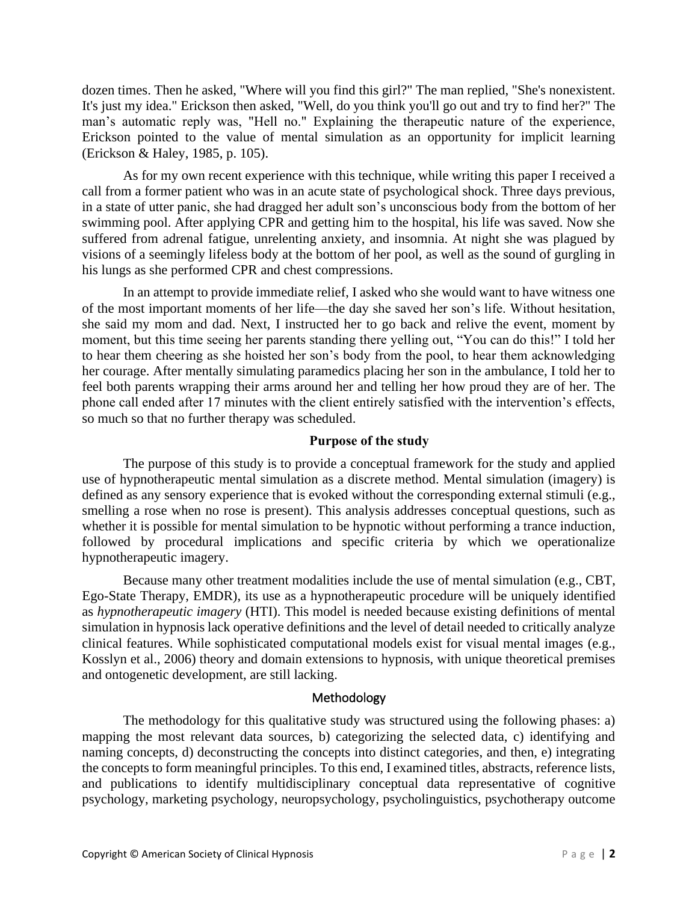dozen times. Then he asked, "Where will you find this girl?" The man replied, "She's nonexistent. It's just my idea." Erickson then asked, "Well, do you think you'll go out and try to find her?" The man's automatic reply was, "Hell no." Explaining the therapeutic nature of the experience, Erickson pointed to the value of mental simulation as an opportunity for implicit learning (Erickson & Haley, 1985, p. 105).

As for my own recent experience with this technique, while writing this paper I received a call from a former patient who was in an acute state of psychological shock. Three days previous, in a state of utter panic, she had dragged her adult son's unconscious body from the bottom of her swimming pool. After applying CPR and getting him to the hospital, his life was saved. Now she suffered from adrenal fatigue, unrelenting anxiety, and insomnia. At night she was plagued by visions of a seemingly lifeless body at the bottom of her pool, as well as the sound of gurgling in his lungs as she performed CPR and chest compressions.

In an attempt to provide immediate relief, I asked who she would want to have witness one of the most important moments of her life—the day she saved her son's life. Without hesitation, she said my mom and dad. Next, I instructed her to go back and relive the event, moment by moment, but this time seeing her parents standing there yelling out, "You can do this!" I told her to hear them cheering as she hoisted her son's body from the pool, to hear them acknowledging her courage. After mentally simulating paramedics placing her son in the ambulance, I told her to feel both parents wrapping their arms around her and telling her how proud they are of her. The phone call ended after 17 minutes with the client entirely satisfied with the intervention's effects, so much so that no further therapy was scheduled.

#### **Purpose of the study**

The purpose of this study is to provide a conceptual framework for the study and applied use of hypnotherapeutic mental simulation as a discrete method. Mental simulation (imagery) is defined as any sensory experience that is evoked without the corresponding external stimuli (e.g., smelling a rose when no rose is present). This analysis addresses conceptual questions, such as whether it is possible for mental simulation to be hypnotic without performing a trance induction, followed by procedural implications and specific criteria by which we operationalize hypnotherapeutic imagery.

Because many other treatment modalities include the use of mental simulation (e.g., CBT, Ego-State Therapy, EMDR), its use as a hypnotherapeutic procedure will be uniquely identified as *hypnotherapeutic imagery* (HTI). This model is needed because existing definitions of mental simulation in hypnosis lack operative definitions and the level of detail needed to critically analyze clinical features. While sophisticated computational models exist for visual mental images (e.g., Kosslyn et al., 2006) theory and domain extensions to hypnosis, with unique theoretical premises and ontogenetic development, are still lacking.

#### Methodology

The methodology for this qualitative study was structured using the following phases: a) mapping the most relevant data sources, b) categorizing the selected data, c) identifying and naming concepts, d) deconstructing the concepts into distinct categories, and then, e) integrating the concepts to form meaningful principles. To this end, I examined titles, abstracts, reference lists, and publications to identify multidisciplinary conceptual data representative of cognitive psychology, marketing psychology, neuropsychology, psycholinguistics, psychotherapy outcome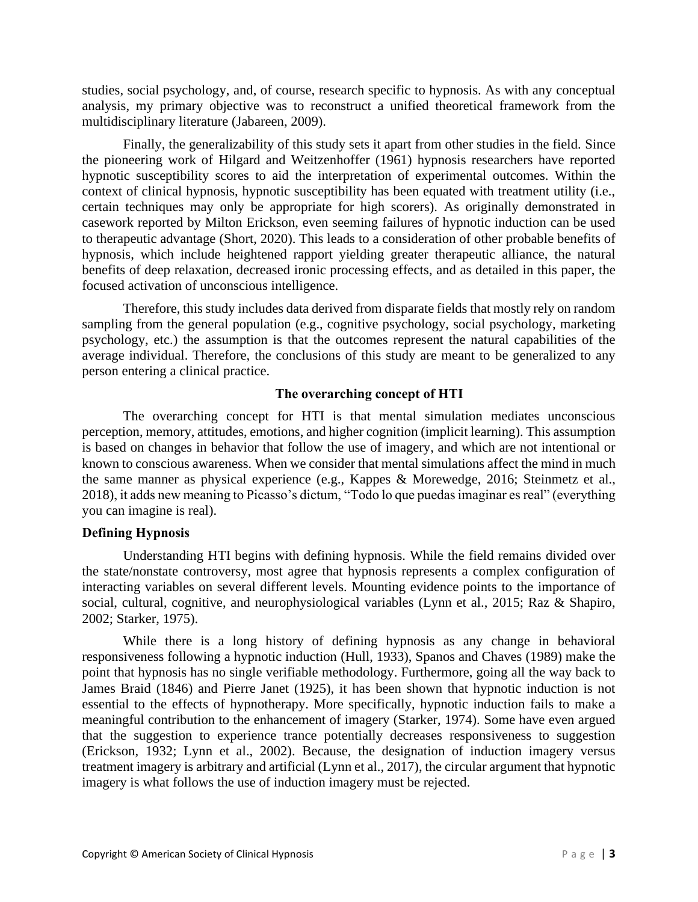studies, social psychology, and, of course, research specific to hypnosis. As with any conceptual analysis, my primary objective was to reconstruct a unified theoretical framework from the multidisciplinary literature (Jabareen, 2009).

Finally, the generalizability of this study sets it apart from other studies in the field. Since the pioneering work of Hilgard and Weitzenhoffer (1961) hypnosis researchers have reported hypnotic susceptibility scores to aid the interpretation of experimental outcomes. Within the context of clinical hypnosis, hypnotic susceptibility has been equated with treatment utility (i.e., certain techniques may only be appropriate for high scorers). As originally demonstrated in casework reported by Milton Erickson, even seeming failures of hypnotic induction can be used to therapeutic advantage (Short, 2020). This leads to a consideration of other probable benefits of hypnosis, which include heightened rapport yielding greater therapeutic alliance, the natural benefits of deep relaxation, decreased ironic processing effects, and as detailed in this paper, the focused activation of unconscious intelligence.

Therefore, this study includes data derived from disparate fields that mostly rely on random sampling from the general population (e.g., cognitive psychology, social psychology, marketing psychology, etc.) the assumption is that the outcomes represent the natural capabilities of the average individual. Therefore, the conclusions of this study are meant to be generalized to any person entering a clinical practice.

## **The overarching concept of HTI**

The overarching concept for HTI is that mental simulation mediates unconscious perception, memory, attitudes, emotions, and higher cognition (implicit learning). This assumption is based on changes in behavior that follow the use of imagery, and which are not intentional or known to conscious awareness. When we consider that mental simulations affect the mind in much the same manner as physical experience (e.g., Kappes & Morewedge, 2016; Steinmetz et al., 2018), it adds new meaning to Picasso's dictum, "Todo lo que puedas imaginar es real" (everything you can imagine is real).

## **Defining Hypnosis**

Understanding HTI begins with defining hypnosis. While the field remains divided over the state/nonstate controversy, most agree that hypnosis represents a complex configuration of interacting variables on several different levels. Mounting evidence points to the importance of social, cultural, cognitive, and neurophysiological variables (Lynn et al., 2015; Raz & Shapiro, 2002; Starker, 1975).

While there is a long history of defining hypnosis as any change in behavioral responsiveness following a hypnotic induction (Hull, 1933), Spanos and Chaves (1989) make the point that hypnosis has no single verifiable methodology. Furthermore, going all the way back to James Braid (1846) and Pierre Janet (1925), it has been shown that hypnotic induction is not essential to the effects of hypnotherapy. More specifically, hypnotic induction fails to make a meaningful contribution to the enhancement of imagery (Starker, 1974). Some have even argued that the suggestion to experience trance potentially decreases responsiveness to suggestion (Erickson, 1932; Lynn et al., 2002). Because, the designation of induction imagery versus treatment imagery is arbitrary and artificial (Lynn et al., 2017), the circular argument that hypnotic imagery is what follows the use of induction imagery must be rejected.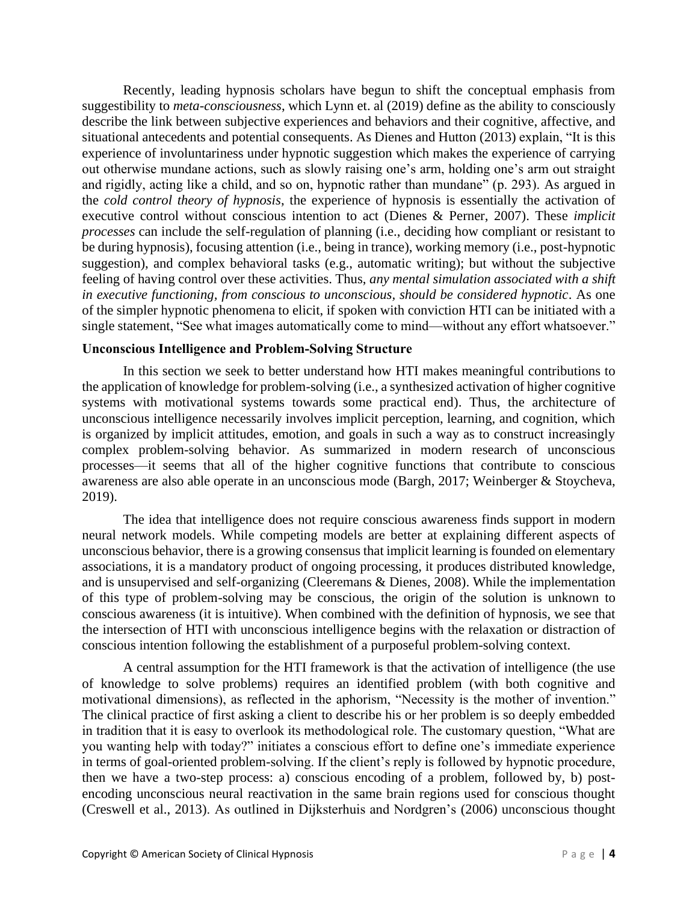Recently, leading hypnosis scholars have begun to shift the conceptual emphasis from suggestibility to *meta-consciousness*, which Lynn et. al (2019) define as the ability to consciously describe the link between subjective experiences and behaviors and their cognitive, affective, and situational antecedents and potential consequents. As Dienes and Hutton (2013) explain, "It is this experience of involuntariness under hypnotic suggestion which makes the experience of carrying out otherwise mundane actions, such as slowly raising one's arm, holding one's arm out straight and rigidly, acting like a child, and so on, hypnotic rather than mundane" (p. 293). As argued in the *cold control theory of hypnosis*, the experience of hypnosis is essentially the activation of executive control without conscious intention to act (Dienes & Perner, 2007). These *implicit processes* can include the self-regulation of planning (i.e., deciding how compliant or resistant to be during hypnosis), focusing attention (i.e., being in trance), working memory (i.e., post-hypnotic suggestion), and complex behavioral tasks (e.g., automatic writing); but without the subjective feeling of having control over these activities. Thus, *any mental simulation associated with a shift in executive functioning, from conscious to unconscious, should be considered hypnotic*. As one of the simpler hypnotic phenomena to elicit, if spoken with conviction HTI can be initiated with a single statement, "See what images automatically come to mind—without any effort whatsoever."

#### **Unconscious Intelligence and Problem-Solving Structure**

In this section we seek to better understand how HTI makes meaningful contributions to the application of knowledge for problem-solving (i.e., a synthesized activation of higher cognitive systems with motivational systems towards some practical end). Thus, the architecture of unconscious intelligence necessarily involves implicit perception, learning, and cognition, which is organized by implicit attitudes, emotion, and goals in such a way as to construct increasingly complex problem-solving behavior. As summarized in modern research of unconscious processes—it seems that all of the higher cognitive functions that contribute to conscious awareness are also able operate in an unconscious mode (Bargh, 2017; Weinberger & Stoycheva, 2019).

The idea that intelligence does not require conscious awareness finds support in modern neural network models. While competing models are better at explaining different aspects of unconscious behavior, there is a growing consensus that implicit learning is founded on elementary associations, it is a mandatory product of ongoing processing, it produces distributed knowledge, and is unsupervised and self-organizing (Cleeremans & Dienes, 2008). While the implementation of this type of problem-solving may be conscious, the origin of the solution is unknown to conscious awareness (it is intuitive). When combined with the definition of hypnosis, we see that the intersection of HTI with unconscious intelligence begins with the relaxation or distraction of conscious intention following the establishment of a purposeful problem-solving context.

A central assumption for the HTI framework is that the activation of intelligence (the use of knowledge to solve problems) requires an identified problem (with both cognitive and motivational dimensions), as reflected in the aphorism, "Necessity is the mother of invention." The clinical practice of first asking a client to describe his or her problem is so deeply embedded in tradition that it is easy to overlook its methodological role. The customary question, "What are you wanting help with today?" initiates a conscious effort to define one's immediate experience in terms of goal-oriented problem-solving. If the client's reply is followed by hypnotic procedure, then we have a two-step process: a) conscious encoding of a problem, followed by, b) postencoding unconscious neural reactivation in the same brain regions used for conscious thought (Creswell et al., 2013). As outlined in Dijksterhuis and Nordgren's (2006) unconscious thought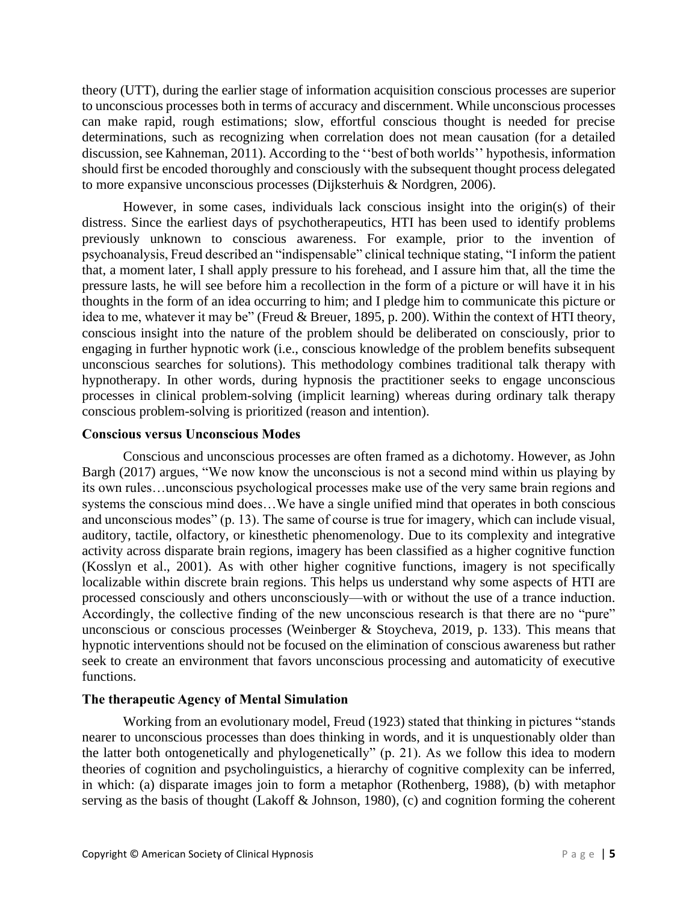theory (UTT), during the earlier stage of information acquisition conscious processes are superior to unconscious processes both in terms of accuracy and discernment. While unconscious processes can make rapid, rough estimations; slow, effortful conscious thought is needed for precise determinations, such as recognizing when correlation does not mean causation (for a detailed discussion, see Kahneman, 2011). According to the ''best of both worlds'' hypothesis, information should first be encoded thoroughly and consciously with the subsequent thought process delegated to more expansive unconscious processes (Dijksterhuis & Nordgren, 2006).

However, in some cases, individuals lack conscious insight into the origin(s) of their distress. Since the earliest days of psychotherapeutics, HTI has been used to identify problems previously unknown to conscious awareness. For example, prior to the invention of psychoanalysis, Freud described an "indispensable" clinical technique stating, "I inform the patient that, a moment later, I shall apply pressure to his forehead, and I assure him that, all the time the pressure lasts, he will see before him a recollection in the form of a picture or will have it in his thoughts in the form of an idea occurring to him; and I pledge him to communicate this picture or idea to me, whatever it may be" (Freud & Breuer, 1895, p. 200). Within the context of HTI theory, conscious insight into the nature of the problem should be deliberated on consciously, prior to engaging in further hypnotic work (i.e., conscious knowledge of the problem benefits subsequent unconscious searches for solutions). This methodology combines traditional talk therapy with hypnotherapy. In other words, during hypnosis the practitioner seeks to engage unconscious processes in clinical problem-solving (implicit learning) whereas during ordinary talk therapy conscious problem-solving is prioritized (reason and intention).

#### **Conscious versus Unconscious Modes**

Conscious and unconscious processes are often framed as a dichotomy. However, as John Bargh (2017) argues, "We now know the unconscious is not a second mind within us playing by its own rules…unconscious psychological processes make use of the very same brain regions and systems the conscious mind does…We have a single unified mind that operates in both conscious and unconscious modes" (p. 13). The same of course is true for imagery, which can include visual, auditory, tactile, olfactory, or kinesthetic phenomenology. Due to its complexity and integrative activity across disparate brain regions, imagery has been classified as a higher cognitive function (Kosslyn et al., 2001). As with other higher cognitive functions, imagery is not specifically localizable within discrete brain regions. This helps us understand why some aspects of HTI are processed consciously and others unconsciously—with or without the use of a trance induction. Accordingly, the collective finding of the new unconscious research is that there are no "pure" unconscious or conscious processes (Weinberger & Stoycheva, 2019, p. 133). This means that hypnotic interventions should not be focused on the elimination of conscious awareness but rather seek to create an environment that favors unconscious processing and automaticity of executive functions.

## **The therapeutic Agency of Mental Simulation**

Working from an evolutionary model, Freud (1923) stated that thinking in pictures "stands nearer to unconscious processes than does thinking in words, and it is unquestionably older than the latter both ontogenetically and phylogenetically" (p. 21). As we follow this idea to modern theories of cognition and psycholinguistics, a hierarchy of cognitive complexity can be inferred, in which: (a) disparate images join to form a metaphor (Rothenberg, 1988), (b) with metaphor serving as the basis of thought (Lakoff & Johnson, 1980), (c) and cognition forming the coherent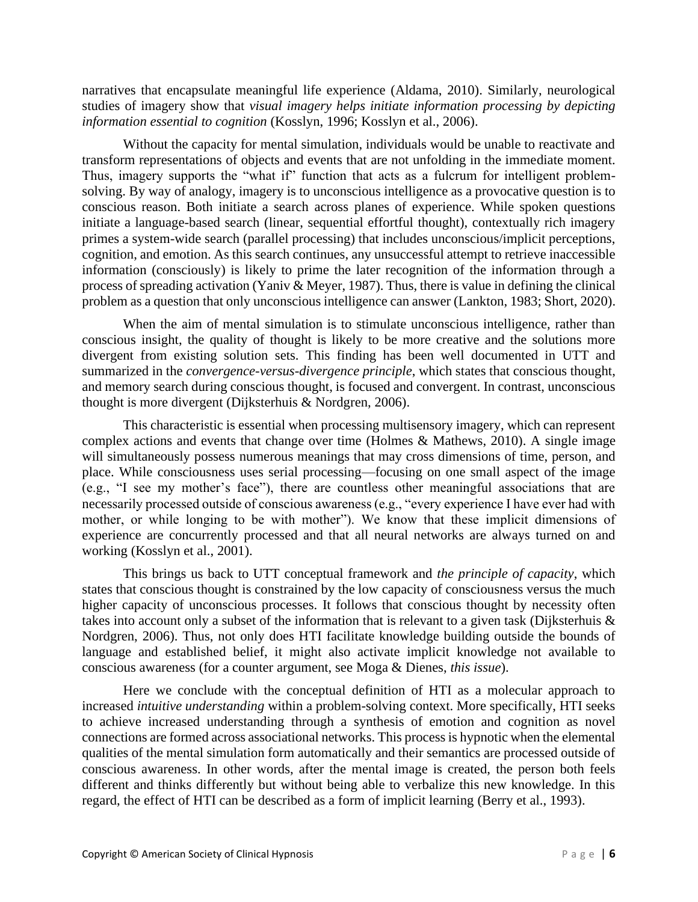narratives that encapsulate meaningful life experience (Aldama, 2010). Similarly, neurological studies of imagery show that *visual imagery helps initiate information processing by depicting information essential to cognition* (Kosslyn, 1996; Kosslyn et al., 2006).

Without the capacity for mental simulation, individuals would be unable to reactivate and transform representations of objects and events that are not unfolding in the immediate moment. Thus, imagery supports the "what if" function that acts as a fulcrum for intelligent problemsolving. By way of analogy, imagery is to unconscious intelligence as a provocative question is to conscious reason. Both initiate a search across planes of experience. While spoken questions initiate a language-based search (linear, sequential effortful thought), contextually rich imagery primes a system-wide search (parallel processing) that includes unconscious/implicit perceptions, cognition, and emotion. As this search continues, any unsuccessful attempt to retrieve inaccessible information (consciously) is likely to prime the later recognition of the information through a process of spreading activation (Yaniv & Meyer, 1987). Thus, there is value in defining the clinical problem as a question that only unconscious intelligence can answer (Lankton, 1983; Short, 2020).

When the aim of mental simulation is to stimulate unconscious intelligence, rather than conscious insight, the quality of thought is likely to be more creative and the solutions more divergent from existing solution sets. This finding has been well documented in UTT and summarized in the *convergence-versus-divergence principle*, which states that conscious thought, and memory search during conscious thought, is focused and convergent. In contrast, unconscious thought is more divergent (Dijksterhuis & Nordgren, 2006).

This characteristic is essential when processing multisensory imagery, which can represent complex actions and events that change over time (Holmes & Mathews, 2010). A single image will simultaneously possess numerous meanings that may cross dimensions of time, person, and place. While consciousness uses serial processing—focusing on one small aspect of the image (e.g., "I see my mother's face"), there are countless other meaningful associations that are necessarily processed outside of conscious awareness (e.g., "every experience I have ever had with mother, or while longing to be with mother"). We know that these implicit dimensions of experience are concurrently processed and that all neural networks are always turned on and working (Kosslyn et al., 2001).

This brings us back to UTT conceptual framework and *the principle of capacity*, which states that conscious thought is constrained by the low capacity of consciousness versus the much higher capacity of unconscious processes. It follows that conscious thought by necessity often takes into account only a subset of the information that is relevant to a given task (Dijksterhuis & Nordgren, 2006). Thus, not only does HTI facilitate knowledge building outside the bounds of language and established belief, it might also activate implicit knowledge not available to conscious awareness (for a counter argument, see Moga & Dienes, *this issue*).

Here we conclude with the conceptual definition of HTI as a molecular approach to increased *intuitive understanding* within a problem-solving context. More specifically, HTI seeks to achieve increased understanding through a synthesis of emotion and cognition as novel connections are formed across associational networks. This process is hypnotic when the elemental qualities of the mental simulation form automatically and their semantics are processed outside of conscious awareness. In other words, after the mental image is created, the person both feels different and thinks differently but without being able to verbalize this new knowledge. In this regard, the effect of HTI can be described as a form of implicit learning (Berry et al., 1993).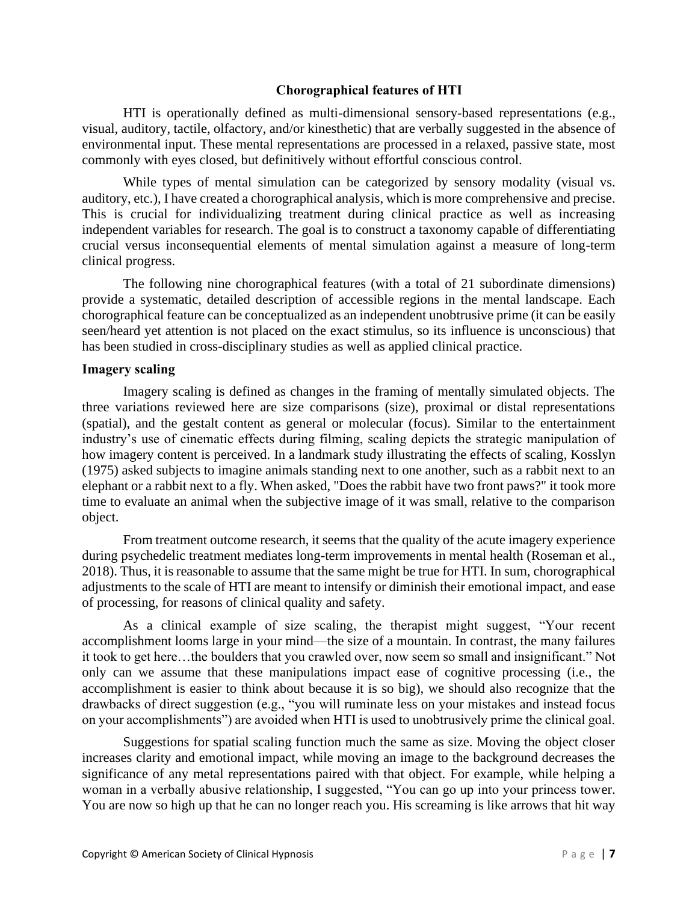## **Chorographical features of HTI**

HTI is operationally defined as multi-dimensional sensory-based representations (e.g., visual, auditory, tactile, olfactory, and/or kinesthetic) that are verbally suggested in the absence of environmental input. These mental representations are processed in a relaxed, passive state, most commonly with eyes closed, but definitively without effortful conscious control.

While types of mental simulation can be categorized by sensory modality (visual vs. auditory, etc.), I have created a chorographical analysis, which is more comprehensive and precise. This is crucial for individualizing treatment during clinical practice as well as increasing independent variables for research. The goal is to construct a taxonomy capable of differentiating crucial versus inconsequential elements of mental simulation against a measure of long-term clinical progress.

The following nine chorographical features (with a total of 21 subordinate dimensions) provide a systematic, detailed description of accessible regions in the mental landscape. Each chorographical feature can be conceptualized as an independent unobtrusive prime (it can be easily seen/heard yet attention is not placed on the exact stimulus, so its influence is unconscious) that has been studied in cross-disciplinary studies as well as applied clinical practice.

## **Imagery scaling**

Imagery scaling is defined as changes in the framing of mentally simulated objects. The three variations reviewed here are size comparisons (size), proximal or distal representations (spatial), and the gestalt content as general or molecular (focus). Similar to the entertainment industry's use of cinematic effects during filming, scaling depicts the strategic manipulation of how imagery content is perceived. In a landmark study illustrating the effects of scaling, Kosslyn (1975) asked subjects to imagine animals standing next to one another, such as a rabbit next to an elephant or a rabbit next to a fly. When asked, "Does the rabbit have two front paws?" it took more time to evaluate an animal when the subjective image of it was small, relative to the comparison object.

From treatment outcome research, it seems that the quality of the acute imagery experience during psychedelic treatment mediates long-term improvements in mental health (Roseman et al., 2018). Thus, it is reasonable to assume that the same might be true for HTI. In sum, chorographical adjustments to the scale of HTI are meant to intensify or diminish their emotional impact, and ease of processing, for reasons of clinical quality and safety.

As a clinical example of size scaling, the therapist might suggest, "Your recent accomplishment looms large in your mind—the size of a mountain. In contrast, the many failures it took to get here…the boulders that you crawled over, now seem so small and insignificant." Not only can we assume that these manipulations impact ease of cognitive processing (i.e., the accomplishment is easier to think about because it is so big), we should also recognize that the drawbacks of direct suggestion (e.g., "you will ruminate less on your mistakes and instead focus on your accomplishments") are avoided when HTI is used to unobtrusively prime the clinical goal.

Suggestions for spatial scaling function much the same as size. Moving the object closer increases clarity and emotional impact, while moving an image to the background decreases the significance of any metal representations paired with that object. For example, while helping a woman in a verbally abusive relationship, I suggested, "You can go up into your princess tower. You are now so high up that he can no longer reach you. His screaming is like arrows that hit way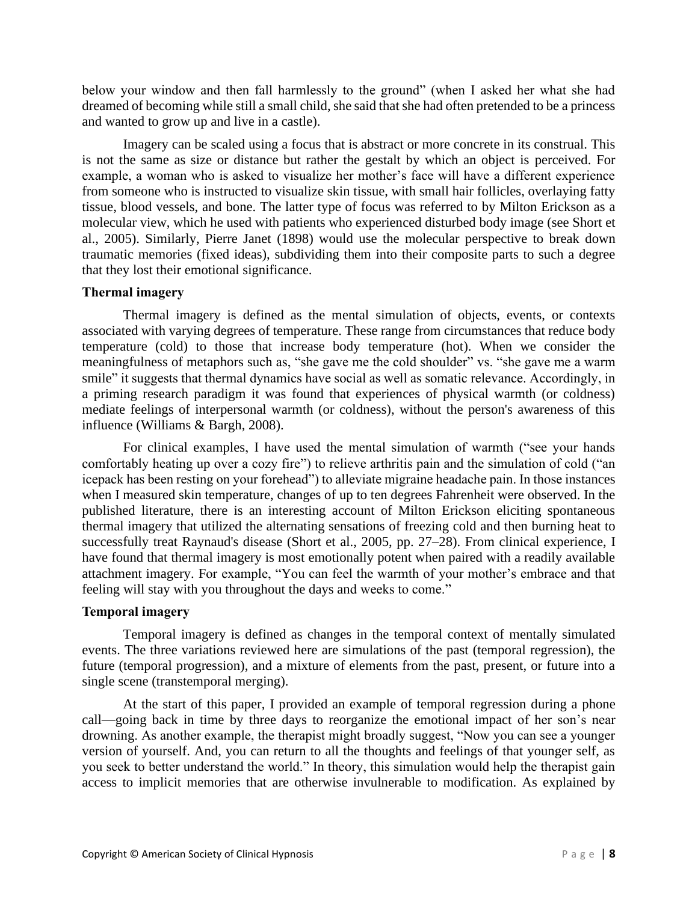below your window and then fall harmlessly to the ground" (when I asked her what she had dreamed of becoming while still a small child, she said that she had often pretended to be a princess and wanted to grow up and live in a castle).

Imagery can be scaled using a focus that is abstract or more concrete in its construal. This is not the same as size or distance but rather the gestalt by which an object is perceived. For example, a woman who is asked to visualize her mother's face will have a different experience from someone who is instructed to visualize skin tissue, with small hair follicles, overlaying fatty tissue, blood vessels, and bone. The latter type of focus was referred to by Milton Erickson as a molecular view, which he used with patients who experienced disturbed body image (see Short et al., 2005). Similarly, Pierre Janet (1898) would use the molecular perspective to break down traumatic memories (fixed ideas), subdividing them into their composite parts to such a degree that they lost their emotional significance.

#### **Thermal imagery**

Thermal imagery is defined as the mental simulation of objects, events, or contexts associated with varying degrees of temperature. These range from circumstances that reduce body temperature (cold) to those that increase body temperature (hot). When we consider the meaningfulness of metaphors such as, "she gave me the cold shoulder" vs. "she gave me a warm smile" it suggests that thermal dynamics have social as well as somatic relevance. Accordingly, in a priming research paradigm it was found that experiences of physical warmth (or coldness) mediate feelings of interpersonal warmth (or coldness), without the person's awareness of this influence (Williams & Bargh, 2008).

For clinical examples, I have used the mental simulation of warmth ("see your hands comfortably heating up over a cozy fire") to relieve arthritis pain and the simulation of cold ("an icepack has been resting on your forehead") to alleviate migraine headache pain. In those instances when I measured skin temperature, changes of up to ten degrees Fahrenheit were observed. In the published literature, there is an interesting account of Milton Erickson eliciting spontaneous thermal imagery that utilized the alternating sensations of freezing cold and then burning heat to successfully treat Raynaud's disease (Short et al., 2005, pp. 27–28). From clinical experience, I have found that thermal imagery is most emotionally potent when paired with a readily available attachment imagery. For example, "You can feel the warmth of your mother's embrace and that feeling will stay with you throughout the days and weeks to come."

#### **Temporal imagery**

Temporal imagery is defined as changes in the temporal context of mentally simulated events. The three variations reviewed here are simulations of the past (temporal regression), the future (temporal progression), and a mixture of elements from the past, present, or future into a single scene (transtemporal merging).

At the start of this paper, I provided an example of temporal regression during a phone call—going back in time by three days to reorganize the emotional impact of her son's near drowning. As another example, the therapist might broadly suggest, "Now you can see a younger version of yourself. And, you can return to all the thoughts and feelings of that younger self, as you seek to better understand the world." In theory, this simulation would help the therapist gain access to implicit memories that are otherwise invulnerable to modification. As explained by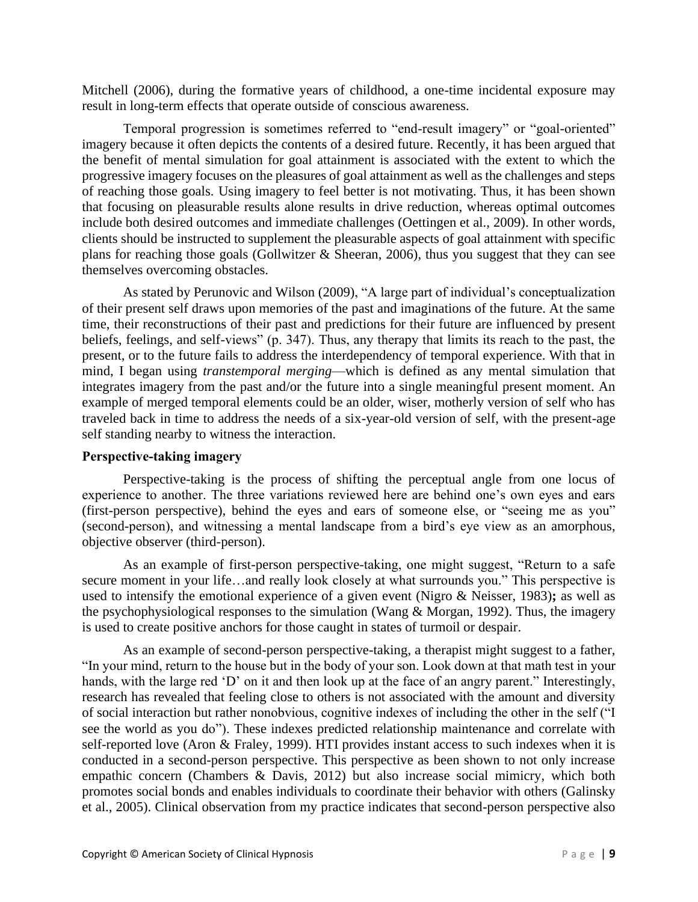Mitchell (2006), during the formative years of childhood, a one-time incidental exposure may result in long-term effects that operate outside of conscious awareness.

Temporal progression is sometimes referred to "end-result imagery" or "goal-oriented" imagery because it often depicts the contents of a desired future. Recently, it has been argued that the benefit of mental simulation for goal attainment is associated with the extent to which the progressive imagery focuses on the pleasures of goal attainment as well as the challenges and steps of reaching those goals. Using imagery to feel better is not motivating. Thus, it has been shown that focusing on pleasurable results alone results in drive reduction, whereas optimal outcomes include both desired outcomes and immediate challenges (Oettingen et al., 2009). In other words, clients should be instructed to supplement the pleasurable aspects of goal attainment with specific plans for reaching those goals (Gollwitzer & Sheeran, 2006), thus you suggest that they can see themselves overcoming obstacles.

As stated by Perunovic and Wilson (2009), "A large part of individual's conceptualization of their present self draws upon memories of the past and imaginations of the future. At the same time, their reconstructions of their past and predictions for their future are influenced by present beliefs, feelings, and self-views" (p. 347). Thus, any therapy that limits its reach to the past, the present, or to the future fails to address the interdependency of temporal experience. With that in mind, I began using *transtemporal merging*—which is defined as any mental simulation that integrates imagery from the past and/or the future into a single meaningful present moment. An example of merged temporal elements could be an older, wiser, motherly version of self who has traveled back in time to address the needs of a six-year-old version of self, with the present-age self standing nearby to witness the interaction.

## **Perspective-taking imagery**

Perspective-taking is the process of shifting the perceptual angle from one locus of experience to another. The three variations reviewed here are behind one's own eyes and ears (first-person perspective), behind the eyes and ears of someone else, or "seeing me as you" (second-person), and witnessing a mental landscape from a bird's eye view as an amorphous, objective observer (third-person).

As an example of first-person perspective-taking, one might suggest, "Return to a safe secure moment in your life…and really look closely at what surrounds you." This perspective is used to intensify the emotional experience of a given event (Nigro & Neisser, 1983)**;** as well as the psychophysiological responses to the simulation (Wang & Morgan, 1992). Thus, the imagery is used to create positive anchors for those caught in states of turmoil or despair.

As an example of second-person perspective-taking, a therapist might suggest to a father, "In your mind, return to the house but in the body of your son. Look down at that math test in your hands, with the large red 'D' on it and then look up at the face of an angry parent." Interestingly, research has revealed that feeling close to others is not associated with the amount and diversity of social interaction but rather nonobvious, cognitive indexes of including the other in the self ("I see the world as you do"). These indexes predicted relationship maintenance and correlate with self-reported love (Aron & Fraley, 1999). HTI provides instant access to such indexes when it is conducted in a second-person perspective. This perspective as been shown to not only increase empathic concern (Chambers & Davis, 2012) but also increase social mimicry, which both promotes social bonds and enables individuals to coordinate their behavior with others (Galinsky et al., 2005). Clinical observation from my practice indicates that second-person perspective also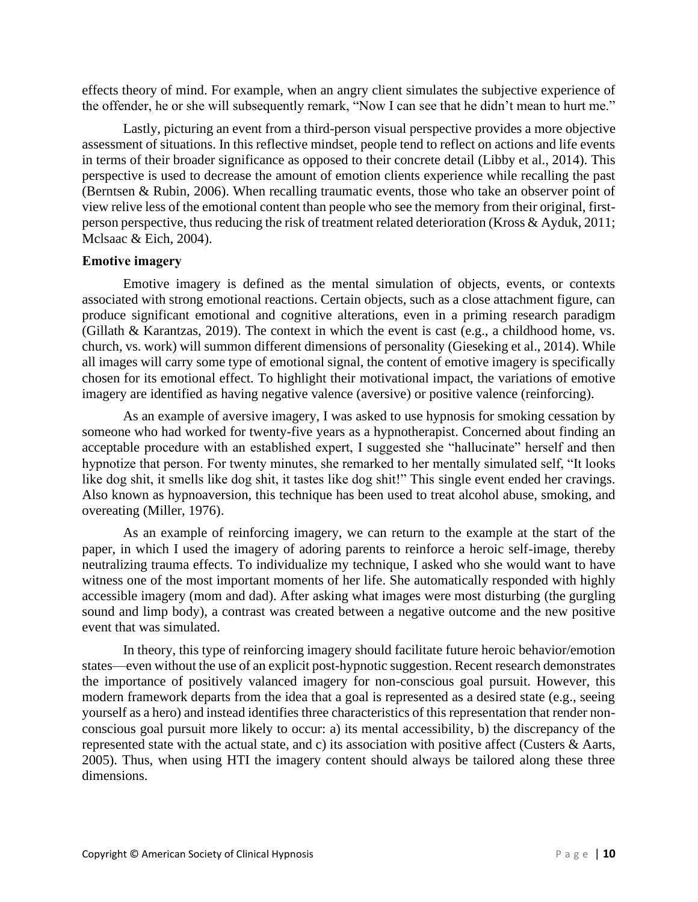effects theory of mind. For example, when an angry client simulates the subjective experience of the offender, he or she will subsequently remark, "Now I can see that he didn't mean to hurt me."

Lastly, picturing an event from a third-person visual perspective provides a more objective assessment of situations. In this reflective mindset, people tend to reflect on actions and life events in terms of their broader significance as opposed to their concrete detail (Libby et al., 2014). This perspective is used to decrease the amount of emotion clients experience while recalling the past (Berntsen & Rubin, 2006). When recalling traumatic events, those who take an observer point of view relive less of the emotional content than people who see the memory from their original, firstperson perspective, thus reducing the risk of treatment related deterioration (Kross & Ayduk, 2011; Mclsaac & Eich, 2004).

## **Emotive imagery**

Emotive imagery is defined as the mental simulation of objects, events, or contexts associated with strong emotional reactions. Certain objects, such as a close attachment figure, can produce significant emotional and cognitive alterations, even in a priming research paradigm (Gillath & Karantzas, 2019). The context in which the event is cast (e.g., a childhood home, vs. church, vs. work) will summon different dimensions of personality (Gieseking et al., 2014). While all images will carry some type of emotional signal, the content of emotive imagery is specifically chosen for its emotional effect. To highlight their motivational impact, the variations of emotive imagery are identified as having negative valence (aversive) or positive valence (reinforcing).

As an example of aversive imagery, I was asked to use hypnosis for smoking cessation by someone who had worked for twenty-five years as a hypnotherapist. Concerned about finding an acceptable procedure with an established expert, I suggested she "hallucinate" herself and then hypnotize that person. For twenty minutes, she remarked to her mentally simulated self, "It looks like dog shit, it smells like dog shit, it tastes like dog shit!" This single event ended her cravings. Also known as hypnoaversion, this technique has been used to treat alcohol abuse, smoking, and overeating (Miller, 1976).

As an example of reinforcing imagery, we can return to the example at the start of the paper, in which I used the imagery of adoring parents to reinforce a heroic self-image, thereby neutralizing trauma effects. To individualize my technique, I asked who she would want to have witness one of the most important moments of her life. She automatically responded with highly accessible imagery (mom and dad). After asking what images were most disturbing (the gurgling sound and limp body), a contrast was created between a negative outcome and the new positive event that was simulated.

In theory, this type of reinforcing imagery should facilitate future heroic behavior/emotion states—even without the use of an explicit post-hypnotic suggestion. Recent research demonstrates the importance of positively valanced imagery for non-conscious goal pursuit. However, this modern framework departs from the idea that a goal is represented as a desired state (e.g., seeing yourself as a hero) and instead identifies three characteristics of this representation that render nonconscious goal pursuit more likely to occur: a) its mental accessibility, b) the discrepancy of the represented state with the actual state, and c) its association with positive affect (Custers & Aarts, 2005). Thus, when using HTI the imagery content should always be tailored along these three dimensions.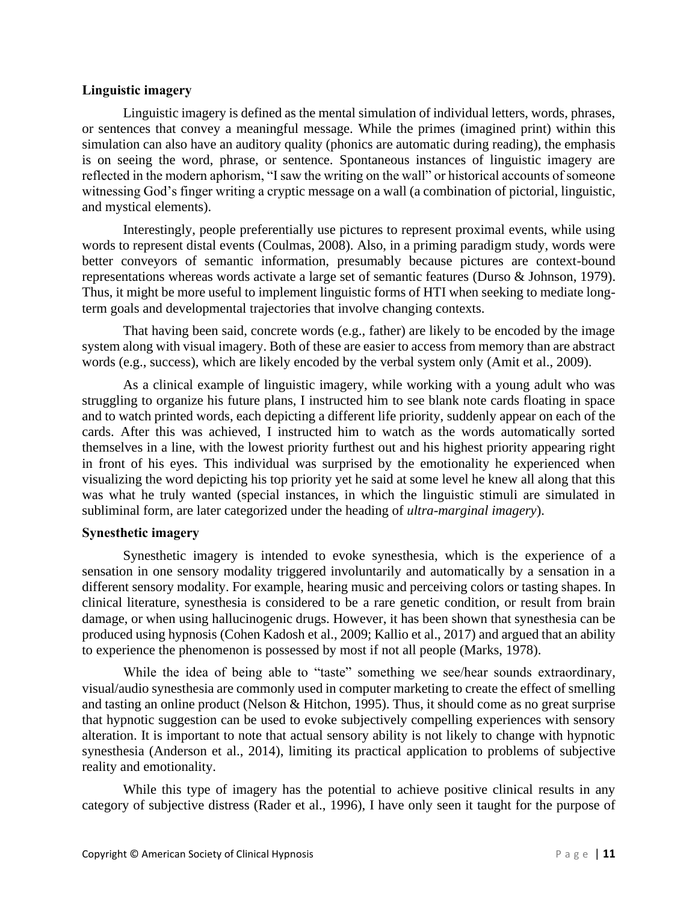## **Linguistic imagery**

Linguistic imagery is defined as the mental simulation of individual letters, words, phrases, or sentences that convey a meaningful message. While the primes (imagined print) within this simulation can also have an auditory quality (phonics are automatic during reading), the emphasis is on seeing the word, phrase, or sentence. Spontaneous instances of linguistic imagery are reflected in the modern aphorism, "I saw the writing on the wall" or historical accounts of someone witnessing God's finger writing a cryptic message on a wall (a combination of pictorial, linguistic, and mystical elements).

Interestingly, people preferentially use pictures to represent proximal events, while using words to represent distal events (Coulmas, 2008). Also, in a priming paradigm study, words were better conveyors of semantic information, presumably because pictures are context-bound representations whereas words activate a large set of semantic features (Durso & Johnson, 1979). Thus, it might be more useful to implement linguistic forms of HTI when seeking to mediate longterm goals and developmental trajectories that involve changing contexts.

That having been said, concrete words (e.g., father) are likely to be encoded by the image system along with visual imagery. Both of these are easier to access from memory than are abstract words (e.g., success), which are likely encoded by the verbal system only (Amit et al., 2009).

As a clinical example of linguistic imagery, while working with a young adult who was struggling to organize his future plans, I instructed him to see blank note cards floating in space and to watch printed words, each depicting a different life priority, suddenly appear on each of the cards. After this was achieved, I instructed him to watch as the words automatically sorted themselves in a line, with the lowest priority furthest out and his highest priority appearing right in front of his eyes. This individual was surprised by the emotionality he experienced when visualizing the word depicting his top priority yet he said at some level he knew all along that this was what he truly wanted (special instances, in which the linguistic stimuli are simulated in subliminal form, are later categorized under the heading of *ultra-marginal imagery*).

## **Synesthetic imagery**

Synesthetic imagery is intended to evoke synesthesia, which is the experience of a sensation in one sensory modality triggered involuntarily and automatically by a sensation in a different sensory modality. For example, hearing music and perceiving colors or tasting shapes. In clinical literature, synesthesia is considered to be a rare genetic condition, or result from brain damage, or when using hallucinogenic drugs. However, it has been shown that synesthesia can be produced using hypnosis (Cohen Kadosh et al., 2009; Kallio et al., 2017) and argued that an ability to experience the phenomenon is possessed by most if not all people (Marks, 1978).

While the idea of being able to "taste" something we see/hear sounds extraordinary, visual/audio synesthesia are commonly used in computer marketing to create the effect of smelling and tasting an online product (Nelson & Hitchon, 1995). Thus, it should come as no great surprise that hypnotic suggestion can be used to evoke subjectively compelling experiences with sensory alteration. It is important to note that actual sensory ability is not likely to change with hypnotic synesthesia (Anderson et al., 2014), limiting its practical application to problems of subjective reality and emotionality.

While this type of imagery has the potential to achieve positive clinical results in any category of subjective distress (Rader et al., 1996), I have only seen it taught for the purpose of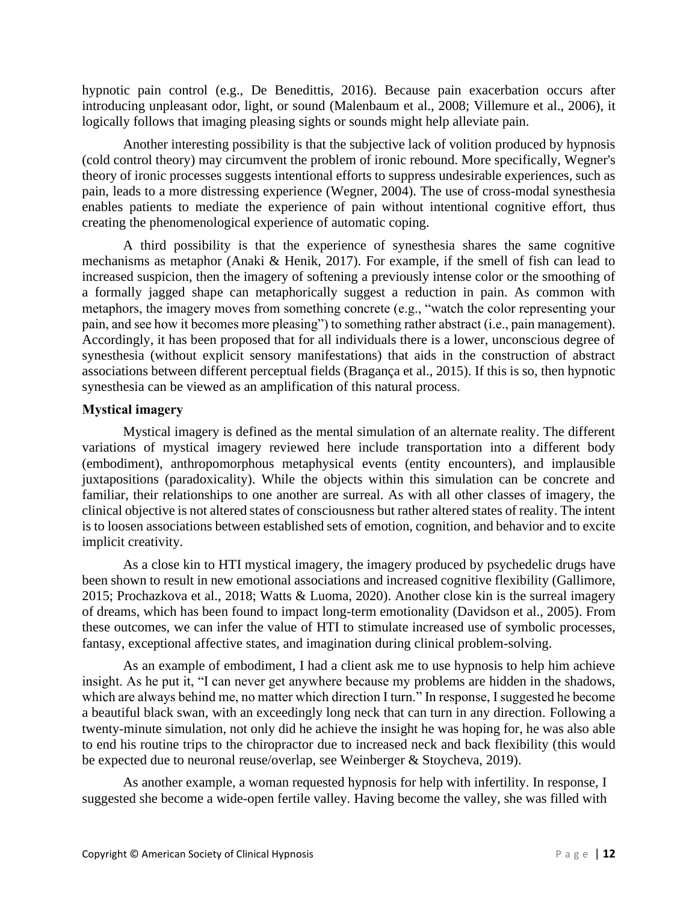hypnotic pain control (e.g., De Benedittis, 2016). Because pain exacerbation occurs after introducing unpleasant odor, light, or sound (Malenbaum et al., 2008; Villemure et al., 2006), it logically follows that imaging pleasing sights or sounds might help alleviate pain.

Another interesting possibility is that the subjective lack of volition produced by hypnosis (cold control theory) may circumvent the problem of ironic rebound. More specifically, Wegner's theory of ironic processes suggests intentional efforts to suppress undesirable experiences, such as pain, leads to a more distressing experience (Wegner, 2004). The use of cross-modal synesthesia enables patients to mediate the experience of pain without intentional cognitive effort, thus creating the phenomenological experience of automatic coping.

A third possibility is that the experience of synesthesia shares the same cognitive mechanisms as metaphor (Anaki & Henik, 2017). For example, if the smell of fish can lead to increased suspicion, then the imagery of softening a previously intense color or the smoothing of a formally jagged shape can metaphorically suggest a reduction in pain. As common with metaphors, the imagery moves from something concrete (e.g., "watch the color representing your pain, and see how it becomes more pleasing") to something rather abstract (i.e., pain management). Accordingly, it has been proposed that for all individuals there is a lower, unconscious degree of synesthesia (without explicit sensory manifestations) that aids in the construction of abstract associations between different perceptual fields (Bragança et al., 2015). If this is so, then hypnotic synesthesia can be viewed as an amplification of this natural process.

## **Mystical imagery**

Mystical imagery is defined as the mental simulation of an alternate reality. The different variations of mystical imagery reviewed here include transportation into a different body (embodiment), anthropomorphous metaphysical events (entity encounters), and implausible juxtapositions (paradoxicality). While the objects within this simulation can be concrete and familiar, their relationships to one another are surreal. As with all other classes of imagery, the clinical objective is not altered states of consciousness but rather altered states of reality. The intent is to loosen associations between established sets of emotion, cognition, and behavior and to excite implicit creativity.

As a close kin to HTI mystical imagery, the imagery produced by psychedelic drugs have been shown to result in new emotional associations and increased cognitive flexibility (Gallimore, 2015; Prochazkova et al., 2018; Watts & Luoma, 2020). Another close kin is the surreal imagery of dreams, which has been found to impact long-term emotionality (Davidson et al., 2005). From these outcomes, we can infer the value of HTI to stimulate increased use of symbolic processes, fantasy, exceptional affective states, and imagination during clinical problem-solving.

As an example of embodiment, I had a client ask me to use hypnosis to help him achieve insight. As he put it, "I can never get anywhere because my problems are hidden in the shadows, which are always behind me, no matter which direction I turn." In response, I suggested he become a beautiful black swan, with an exceedingly long neck that can turn in any direction. Following a twenty-minute simulation, not only did he achieve the insight he was hoping for, he was also able to end his routine trips to the chiropractor due to increased neck and back flexibility (this would be expected due to neuronal reuse/overlap, see Weinberger & Stoycheva, 2019).

As another example, a woman requested hypnosis for help with infertility. In response, I suggested she become a wide-open fertile valley. Having become the valley, she was filled with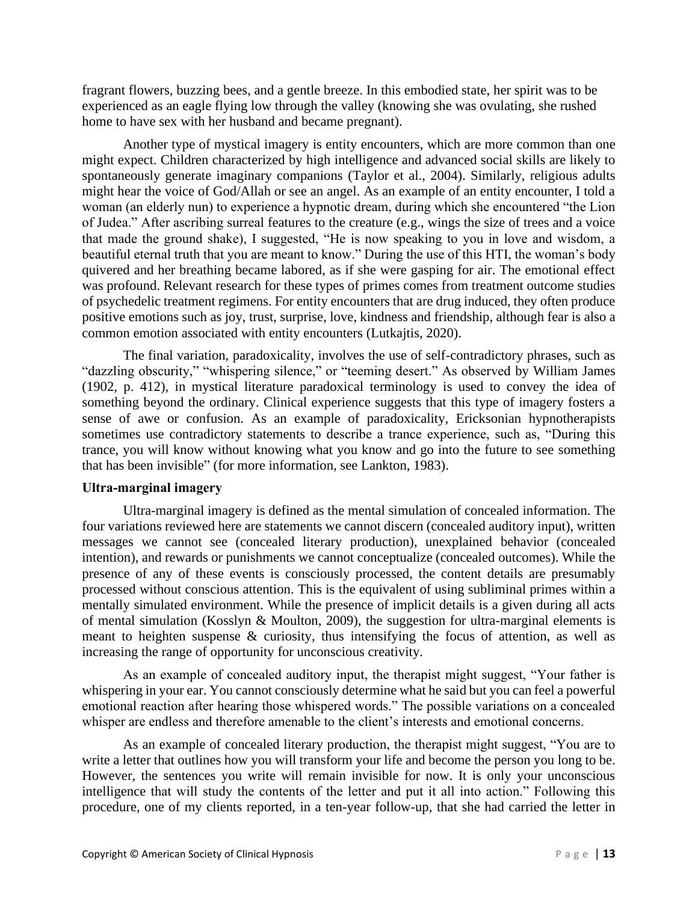fragrant flowers, buzzing bees, and a gentle breeze. In this embodied state, her spirit was to be experienced as an eagle flying low through the valley (knowing she was ovulating, she rushed home to have sex with her husband and became pregnant).

Another type of mystical imagery is entity encounters, which are more common than one might expect. Children characterized by high intelligence and advanced social skills are likely to spontaneously generate imaginary companions (Taylor et al., 2004). Similarly, religious adults might hear the voice of God/Allah or see an angel. As an example of an entity encounter, I told a woman (an elderly nun) to experience a hypnotic dream, during which she encountered "the Lion of Judea." After ascribing surreal features to the creature (e.g., wings the size of trees and a voice that made the ground shake), I suggested, "He is now speaking to you in love and wisdom, a beautiful eternal truth that you are meant to know." During the use of this HTI, the woman's body quivered and her breathing became labored, as if she were gasping for air. The emotional effect was profound. Relevant research for these types of primes comes from treatment outcome studies of psychedelic treatment regimens. For entity encounters that are drug induced, they often produce positive emotions such as joy, trust, surprise, love, kindness and friendship, although fear is also a common emotion associated with entity encounters (Lutkajtis, 2020).

The final variation, paradoxicality, involves the use of self-contradictory phrases, such as "dazzling obscurity," "whispering silence," or "teeming desert." As observed by William James (1902, p. 412), in mystical literature paradoxical terminology is used to convey the idea of something beyond the ordinary. Clinical experience suggests that this type of imagery fosters a sense of awe or confusion. As an example of paradoxicality, Ericksonian hypnotherapists sometimes use contradictory statements to describe a trance experience, such as, "During this trance, you will know without knowing what you know and go into the future to see something that has been invisible" (for more information, see Lankton, 1983).

#### **Ultra-marginal imagery**

Ultra-marginal imagery is defined as the mental simulation of concealed information. The four variations reviewed here are statements we cannot discern (concealed auditory input), written messages we cannot see (concealed literary production), unexplained behavior (concealed intention), and rewards or punishments we cannot conceptualize (concealed outcomes). While the presence of any of these events is consciously processed, the content details are presumably processed without conscious attention. This is the equivalent of using subliminal primes within a mentally simulated environment. While the presence of implicit details is a given during all acts of mental simulation (Kosslyn & Moulton, 2009), the suggestion for ultra-marginal elements is meant to heighten suspense & curiosity, thus intensifying the focus of attention, as well as increasing the range of opportunity for unconscious creativity.

As an example of concealed auditory input, the therapist might suggest, "Your father is whispering in your ear. You cannot consciously determine what he said but you can feel a powerful emotional reaction after hearing those whispered words." The possible variations on a concealed whisper are endless and therefore amenable to the client's interests and emotional concerns.

As an example of concealed literary production, the therapist might suggest, "You are to write a letter that outlines how you will transform your life and become the person you long to be. However, the sentences you write will remain invisible for now. It is only your unconscious intelligence that will study the contents of the letter and put it all into action." Following this procedure, one of my clients reported, in a ten-year follow-up, that she had carried the letter in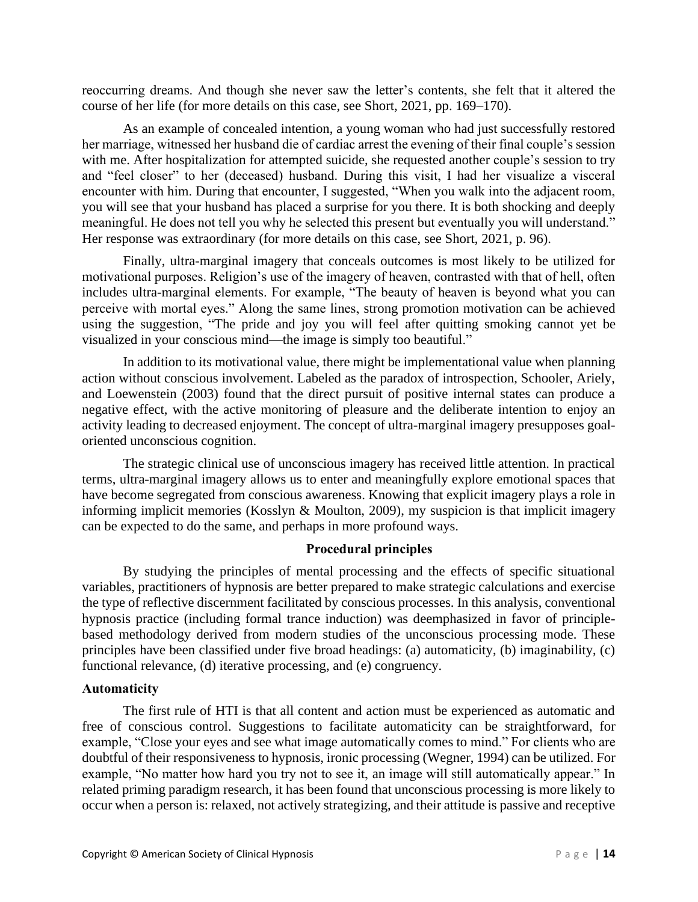reoccurring dreams. And though she never saw the letter's contents, she felt that it altered the course of her life (for more details on this case, see Short, 2021, pp. 169–170).

As an example of concealed intention, a young woman who had just successfully restored her marriage, witnessed her husband die of cardiac arrest the evening of their final couple's session with me. After hospitalization for attempted suicide, she requested another couple's session to try and "feel closer" to her (deceased) husband. During this visit, I had her visualize a visceral encounter with him. During that encounter, I suggested, "When you walk into the adjacent room, you will see that your husband has placed a surprise for you there. It is both shocking and deeply meaningful. He does not tell you why he selected this present but eventually you will understand." Her response was extraordinary (for more details on this case, see Short, 2021, p. 96).

Finally, ultra-marginal imagery that conceals outcomes is most likely to be utilized for motivational purposes. Religion's use of the imagery of heaven, contrasted with that of hell, often includes ultra-marginal elements. For example, "The beauty of heaven is beyond what you can perceive with mortal eyes." Along the same lines, strong promotion motivation can be achieved using the suggestion, "The pride and joy you will feel after quitting smoking cannot yet be visualized in your conscious mind—the image is simply too beautiful."

In addition to its motivational value, there might be implementational value when planning action without conscious involvement. Labeled as the paradox of introspection, Schooler, Ariely, and Loewenstein (2003) found that the direct pursuit of positive internal states can produce a negative effect, with the active monitoring of pleasure and the deliberate intention to enjoy an activity leading to decreased enjoyment. The concept of ultra-marginal imagery presupposes goaloriented unconscious cognition.

The strategic clinical use of unconscious imagery has received little attention. In practical terms, ultra-marginal imagery allows us to enter and meaningfully explore emotional spaces that have become segregated from conscious awareness. Knowing that explicit imagery plays a role in informing implicit memories (Kosslyn & Moulton, 2009), my suspicion is that implicit imagery can be expected to do the same, and perhaps in more profound ways.

## **Procedural principles**

By studying the principles of mental processing and the effects of specific situational variables, practitioners of hypnosis are better prepared to make strategic calculations and exercise the type of reflective discernment facilitated by conscious processes. In this analysis, conventional hypnosis practice (including formal trance induction) was deemphasized in favor of principlebased methodology derived from modern studies of the unconscious processing mode. These principles have been classified under five broad headings: (a) automaticity, (b) imaginability, (c) functional relevance, (d) iterative processing, and (e) congruency.

#### **Automaticity**

The first rule of HTI is that all content and action must be experienced as automatic and free of conscious control. Suggestions to facilitate automaticity can be straightforward, for example, "Close your eyes and see what image automatically comes to mind." For clients who are doubtful of their responsiveness to hypnosis, ironic processing (Wegner, 1994) can be utilized. For example, "No matter how hard you try not to see it, an image will still automatically appear." In related priming paradigm research, it has been found that unconscious processing is more likely to occur when a person is: relaxed, not actively strategizing, and their attitude is passive and receptive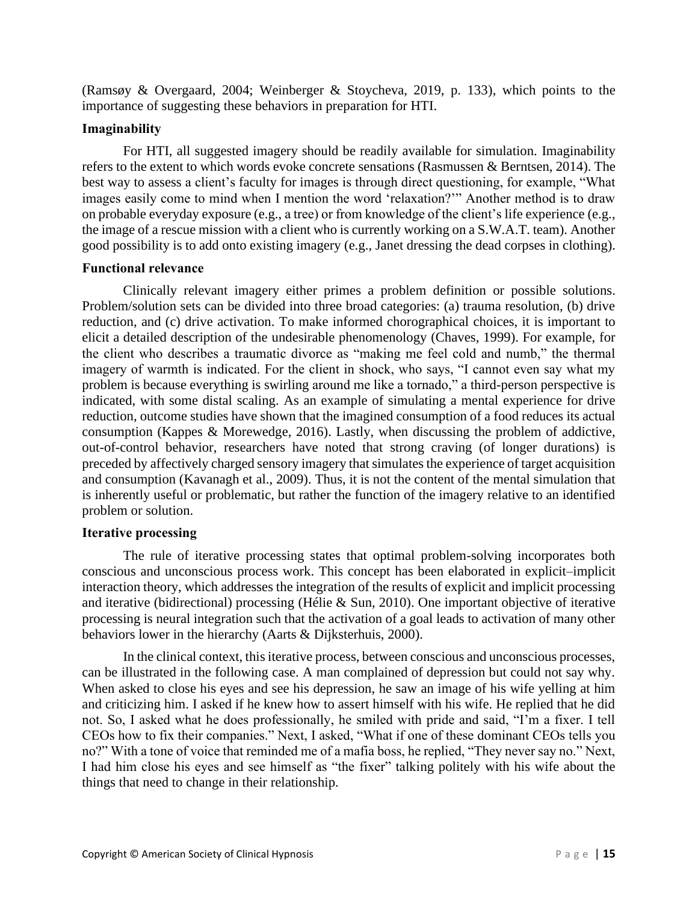(Ramsøy & Overgaard, 2004; Weinberger & Stoycheva, 2019, p. 133), which points to the importance of suggesting these behaviors in preparation for HTI.

## **Imaginability**

For HTI, all suggested imagery should be readily available for simulation. Imaginability refers to the extent to which words evoke concrete sensations (Rasmussen & Berntsen, 2014). The best way to assess a client's faculty for images is through direct questioning, for example, "What images easily come to mind when I mention the word 'relaxation?'" Another method is to draw on probable everyday exposure (e.g., a tree) or from knowledge of the client's life experience (e.g., the image of a rescue mission with a client who is currently working on a S.W.A.T. team). Another good possibility is to add onto existing imagery (e.g., Janet dressing the dead corpses in clothing).

## **Functional relevance**

Clinically relevant imagery either primes a problem definition or possible solutions. Problem/solution sets can be divided into three broad categories: (a) trauma resolution, (b) drive reduction, and (c) drive activation. To make informed chorographical choices, it is important to elicit a detailed description of the undesirable phenomenology (Chaves, 1999). For example, for the client who describes a traumatic divorce as "making me feel cold and numb," the thermal imagery of warmth is indicated. For the client in shock, who says, "I cannot even say what my problem is because everything is swirling around me like a tornado," a third-person perspective is indicated, with some distal scaling. As an example of simulating a mental experience for drive reduction, outcome studies have shown that the imagined consumption of a food reduces its actual consumption (Kappes & Morewedge, 2016). Lastly, when discussing the problem of addictive, out-of-control behavior, researchers have noted that strong craving (of longer durations) is preceded by affectively charged sensory imagery that simulates the experience of target acquisition and consumption (Kavanagh et al., 2009). Thus, it is not the content of the mental simulation that is inherently useful or problematic, but rather the function of the imagery relative to an identified problem or solution.

## **Iterative processing**

The rule of iterative processing states that optimal problem-solving incorporates both conscious and unconscious process work. This concept has been elaborated in explicit–implicit interaction theory, which addresses the integration of the results of explicit and implicit processing and iterative (bidirectional) processing (Hélie & Sun, 2010). One important objective of iterative processing is neural integration such that the activation of a goal leads to activation of many other behaviors lower in the hierarchy (Aarts & Dijksterhuis, 2000).

In the clinical context, this iterative process, between conscious and unconscious processes, can be illustrated in the following case. A man complained of depression but could not say why. When asked to close his eyes and see his depression, he saw an image of his wife yelling at him and criticizing him. I asked if he knew how to assert himself with his wife. He replied that he did not. So, I asked what he does professionally, he smiled with pride and said, "I'm a fixer. I tell CEOs how to fix their companies." Next, I asked, "What if one of these dominant CEOs tells you no?" With a tone of voice that reminded me of a mafia boss, he replied, "They never say no." Next, I had him close his eyes and see himself as "the fixer" talking politely with his wife about the things that need to change in their relationship.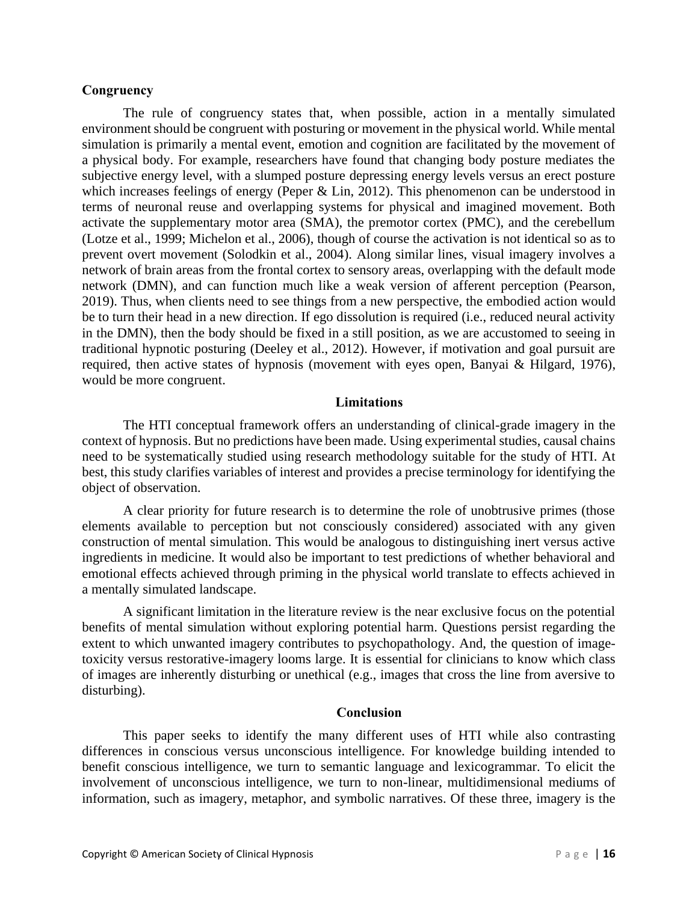#### **Congruency**

The rule of congruency states that, when possible, action in a mentally simulated environment should be congruent with posturing or movement in the physical world. While mental simulation is primarily a mental event, emotion and cognition are facilitated by the movement of a physical body. For example, researchers have found that changing body posture mediates the subjective energy level, with a slumped posture depressing energy levels versus an erect posture which increases feelings of energy (Peper & Lin, 2012). This phenomenon can be understood in terms of neuronal reuse and overlapping systems for physical and imagined movement. Both activate the supplementary motor area (SMA), the premotor cortex (PMC), and the cerebellum (Lotze et al., 1999; Michelon et al., 2006), though of course the activation is not identical so as to prevent overt movement (Solodkin et al., 2004). Along similar lines, visual imagery involves a network of brain areas from the frontal cortex to sensory areas, overlapping with the default mode network (DMN), and can function much like a weak version of afferent perception (Pearson, 2019). Thus, when clients need to see things from a new perspective, the embodied action would be to turn their head in a new direction. If ego dissolution is required (i.e., reduced neural activity in the DMN), then the body should be fixed in a still position, as we are accustomed to seeing in traditional hypnotic posturing (Deeley et al., 2012). However, if motivation and goal pursuit are required, then active states of hypnosis (movement with eyes open, Banyai & Hilgard, 1976), would be more congruent.

#### **Limitations**

The HTI conceptual framework offers an understanding of clinical-grade imagery in the context of hypnosis. But no predictions have been made. Using experimental studies, causal chains need to be systematically studied using research methodology suitable for the study of HTI. At best, this study clarifies variables of interest and provides a precise terminology for identifying the object of observation.

A clear priority for future research is to determine the role of unobtrusive primes (those elements available to perception but not consciously considered) associated with any given construction of mental simulation. This would be analogous to distinguishing inert versus active ingredients in medicine. It would also be important to test predictions of whether behavioral and emotional effects achieved through priming in the physical world translate to effects achieved in a mentally simulated landscape.

A significant limitation in the literature review is the near exclusive focus on the potential benefits of mental simulation without exploring potential harm. Questions persist regarding the extent to which unwanted imagery contributes to psychopathology. And, the question of imagetoxicity versus restorative-imagery looms large. It is essential for clinicians to know which class of images are inherently disturbing or unethical (e.g., images that cross the line from aversive to disturbing).

#### **Conclusion**

This paper seeks to identify the many different uses of HTI while also contrasting differences in conscious versus unconscious intelligence. For knowledge building intended to benefit conscious intelligence, we turn to semantic language and lexicogrammar. To elicit the involvement of unconscious intelligence, we turn to non-linear, multidimensional mediums of information, such as imagery, metaphor, and symbolic narratives. Of these three, imagery is the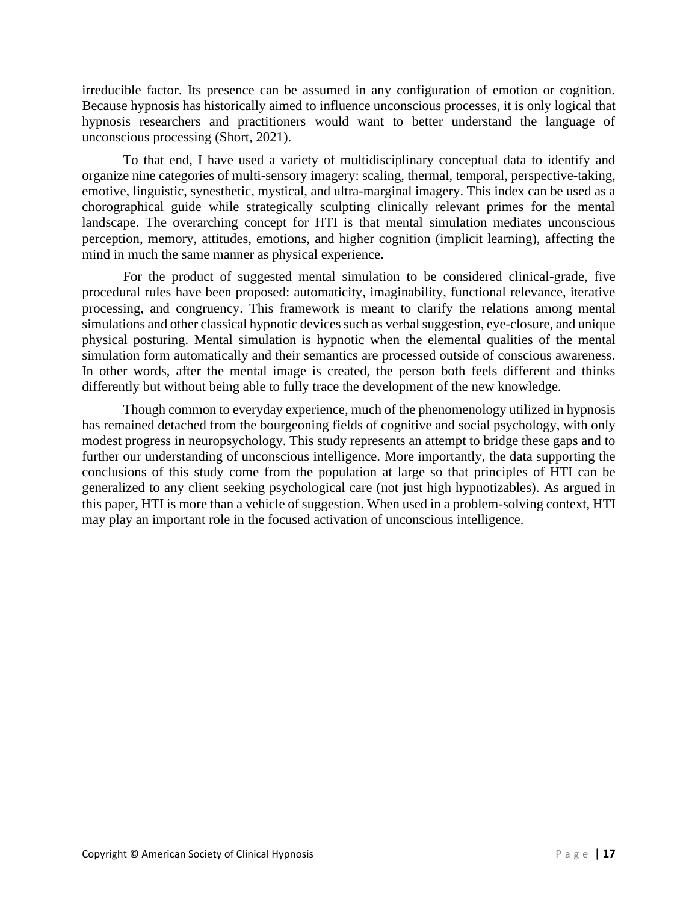irreducible factor. Its presence can be assumed in any configuration of emotion or cognition. Because hypnosis has historically aimed to influence unconscious processes, it is only logical that hypnosis researchers and practitioners would want to better understand the language of unconscious processing (Short, 2021).

To that end, I have used a variety of multidisciplinary conceptual data to identify and organize nine categories of multi-sensory imagery: scaling, thermal, temporal, perspective-taking, emotive, linguistic, synesthetic, mystical, and ultra-marginal imagery. This index can be used as a chorographical guide while strategically sculpting clinically relevant primes for the mental landscape. The overarching concept for HTI is that mental simulation mediates unconscious perception, memory, attitudes, emotions, and higher cognition (implicit learning), affecting the mind in much the same manner as physical experience.

For the product of suggested mental simulation to be considered clinical-grade, five procedural rules have been proposed: automaticity, imaginability, functional relevance, iterative processing, and congruency. This framework is meant to clarify the relations among mental simulations and other classical hypnotic devices such as verbal suggestion, eye-closure, and unique physical posturing. Mental simulation is hypnotic when the elemental qualities of the mental simulation form automatically and their semantics are processed outside of conscious awareness. In other words, after the mental image is created, the person both feels different and thinks differently but without being able to fully trace the development of the new knowledge.

Though common to everyday experience, much of the phenomenology utilized in hypnosis has remained detached from the bourgeoning fields of cognitive and social psychology, with only modest progress in neuropsychology. This study represents an attempt to bridge these gaps and to further our understanding of unconscious intelligence. More importantly, the data supporting the conclusions of this study come from the population at large so that principles of HTI can be generalized to any client seeking psychological care (not just high hypnotizables). As argued in this paper, HTI is more than a vehicle of suggestion. When used in a problem-solving context, HTI may play an important role in the focused activation of unconscious intelligence.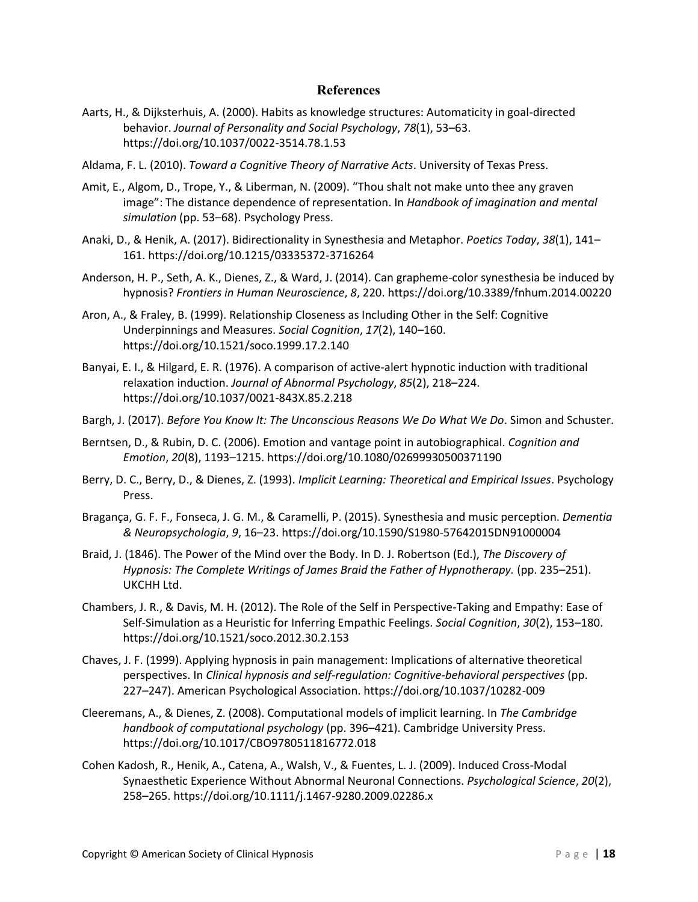#### **References**

- Aarts, H., & Dijksterhuis, A. (2000). Habits as knowledge structures: Automaticity in goal-directed behavior. *Journal of Personality and Social Psychology*, *78*(1), 53–63. https://doi.org/10.1037/0022-3514.78.1.53
- Aldama, F. L. (2010). *Toward a Cognitive Theory of Narrative Acts*. University of Texas Press.
- Amit, E., Algom, D., Trope, Y., & Liberman, N. (2009). "Thou shalt not make unto thee any graven image": The distance dependence of representation. In *Handbook of imagination and mental simulation* (pp. 53–68). Psychology Press.
- Anaki, D., & Henik, A. (2017). Bidirectionality in Synesthesia and Metaphor. *Poetics Today*, *38*(1), 141– 161. https://doi.org/10.1215/03335372-3716264
- Anderson, H. P., Seth, A. K., Dienes, Z., & Ward, J. (2014). Can grapheme-color synesthesia be induced by hypnosis? *Frontiers in Human Neuroscience*, *8*, 220. https://doi.org/10.3389/fnhum.2014.00220
- Aron, A., & Fraley, B. (1999). Relationship Closeness as Including Other in the Self: Cognitive Underpinnings and Measures. *Social Cognition*, *17*(2), 140–160. https://doi.org/10.1521/soco.1999.17.2.140
- Banyai, E. I., & Hilgard, E. R. (1976). A comparison of active-alert hypnotic induction with traditional relaxation induction. *Journal of Abnormal Psychology*, *85*(2), 218–224. https://doi.org/10.1037/0021-843X.85.2.218
- Bargh, J. (2017). *Before You Know It: The Unconscious Reasons We Do What We Do*. Simon and Schuster.
- Berntsen, D., & Rubin, D. C. (2006). Emotion and vantage point in autobiographical. *Cognition and Emotion*, *20*(8), 1193–1215. https://doi.org/10.1080/02699930500371190
- Berry, D. C., Berry, D., & Dienes, Z. (1993). *Implicit Learning: Theoretical and Empirical Issues*. Psychology Press.
- Bragança, G. F. F., Fonseca, J. G. M., & Caramelli, P. (2015). Synesthesia and music perception. *Dementia & Neuropsychologia*, *9*, 16–23. https://doi.org/10.1590/S1980-57642015DN91000004
- Braid, J. (1846). The Power of the Mind over the Body. In D. J. Robertson (Ed.), *The Discovery of Hypnosis: The Complete Writings of James Braid the Father of Hypnotherapy.* (pp. 235–251). UKCHH Ltd.
- Chambers, J. R., & Davis, M. H. (2012). The Role of the Self in Perspective-Taking and Empathy: Ease of Self-Simulation as a Heuristic for Inferring Empathic Feelings. *Social Cognition*, *30*(2), 153–180. https://doi.org/10.1521/soco.2012.30.2.153
- Chaves, J. F. (1999). Applying hypnosis in pain management: Implications of alternative theoretical perspectives. In *Clinical hypnosis and self-regulation: Cognitive-behavioral perspectives* (pp. 227–247). American Psychological Association. https://doi.org/10.1037/10282-009
- Cleeremans, A., & Dienes, Z. (2008). Computational models of implicit learning. In *The Cambridge handbook of computational psychology* (pp. 396–421). Cambridge University Press. https://doi.org/10.1017/CBO9780511816772.018
- Cohen Kadosh, R., Henik, A., Catena, A., Walsh, V., & Fuentes, L. J. (2009). Induced Cross-Modal Synaesthetic Experience Without Abnormal Neuronal Connections. *Psychological Science*, *20*(2), 258–265. https://doi.org/10.1111/j.1467-9280.2009.02286.x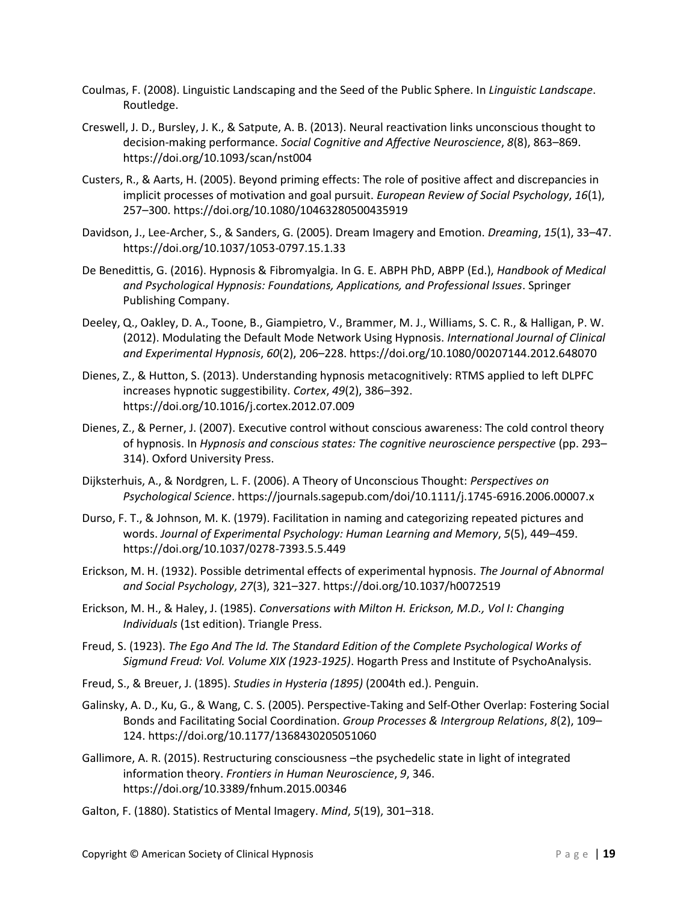- Coulmas, F. (2008). Linguistic Landscaping and the Seed of the Public Sphere. In *Linguistic Landscape*. Routledge.
- Creswell, J. D., Bursley, J. K., & Satpute, A. B. (2013). Neural reactivation links unconscious thought to decision-making performance. *Social Cognitive and Affective Neuroscience*, *8*(8), 863–869. https://doi.org/10.1093/scan/nst004
- Custers, R., & Aarts, H. (2005). Beyond priming effects: The role of positive affect and discrepancies in implicit processes of motivation and goal pursuit. *European Review of Social Psychology*, *16*(1), 257–300. https://doi.org/10.1080/10463280500435919
- Davidson, J., Lee-Archer, S., & Sanders, G. (2005). Dream Imagery and Emotion. *Dreaming*, *15*(1), 33–47. https://doi.org/10.1037/1053-0797.15.1.33
- De Benedittis, G. (2016). Hypnosis & Fibromyalgia. In G. E. ABPH PhD, ABPP (Ed.), *Handbook of Medical and Psychological Hypnosis: Foundations, Applications, and Professional Issues*. Springer Publishing Company.
- Deeley, Q., Oakley, D. A., Toone, B., Giampietro, V., Brammer, M. J., Williams, S. C. R., & Halligan, P. W. (2012). Modulating the Default Mode Network Using Hypnosis. *International Journal of Clinical and Experimental Hypnosis*, *60*(2), 206–228. https://doi.org/10.1080/00207144.2012.648070
- Dienes, Z., & Hutton, S. (2013). Understanding hypnosis metacognitively: RTMS applied to left DLPFC increases hypnotic suggestibility. *Cortex*, *49*(2), 386–392. https://doi.org/10.1016/j.cortex.2012.07.009
- Dienes, Z., & Perner, J. (2007). Executive control without conscious awareness: The cold control theory of hypnosis. In *Hypnosis and conscious states: The cognitive neuroscience perspective* (pp. 293– 314). Oxford University Press.
- Dijksterhuis, A., & Nordgren, L. F. (2006). A Theory of Unconscious Thought: *Perspectives on Psychological Science*. https://journals.sagepub.com/doi/10.1111/j.1745-6916.2006.00007.x
- Durso, F. T., & Johnson, M. K. (1979). Facilitation in naming and categorizing repeated pictures and words. *Journal of Experimental Psychology: Human Learning and Memory*, *5*(5), 449–459. https://doi.org/10.1037/0278-7393.5.5.449
- Erickson, M. H. (1932). Possible detrimental effects of experimental hypnosis. *The Journal of Abnormal and Social Psychology*, *27*(3), 321–327. https://doi.org/10.1037/h0072519
- Erickson, M. H., & Haley, J. (1985). *Conversations with Milton H. Erickson, M.D., Vol I: Changing Individuals* (1st edition). Triangle Press.
- Freud, S. (1923). *The Ego And The Id. The Standard Edition of the Complete Psychological Works of Sigmund Freud: Vol. Volume XIX (1923-1925)*. Hogarth Press and Institute of PsychoAnalysis.
- Freud, S., & Breuer, J. (1895). *Studies in Hysteria (1895)* (2004th ed.). Penguin.
- Galinsky, A. D., Ku, G., & Wang, C. S. (2005). Perspective-Taking and Self-Other Overlap: Fostering Social Bonds and Facilitating Social Coordination. *Group Processes & Intergroup Relations*, *8*(2), 109– 124. https://doi.org/10.1177/1368430205051060
- Gallimore, A. R. (2015). Restructuring consciousness –the psychedelic state in light of integrated information theory. *Frontiers in Human Neuroscience*, *9*, 346. https://doi.org/10.3389/fnhum.2015.00346
- Galton, F. (1880). Statistics of Mental Imagery. *Mind*, *5*(19), 301–318.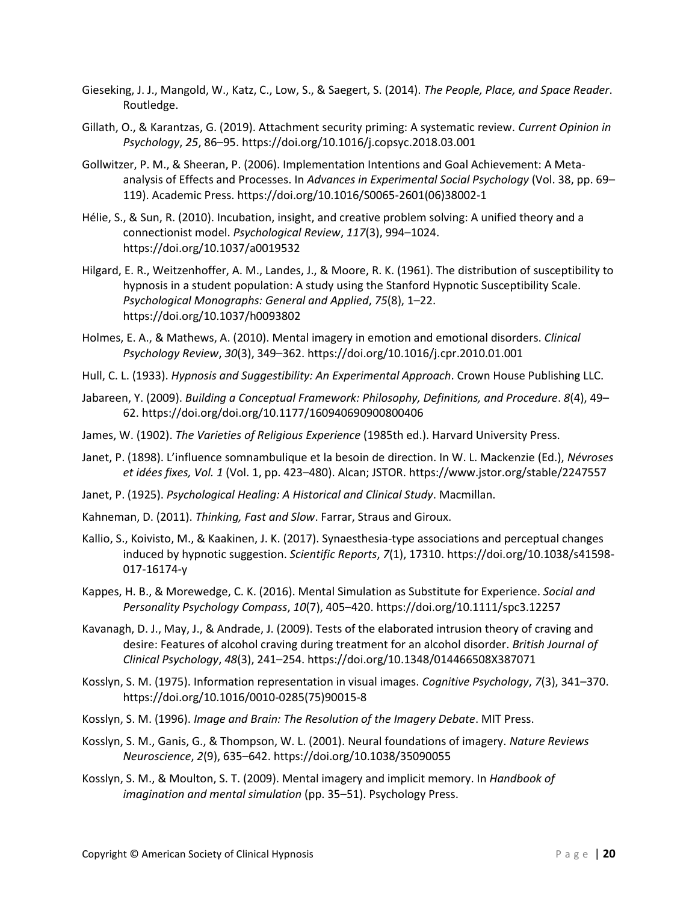- Gieseking, J. J., Mangold, W., Katz, C., Low, S., & Saegert, S. (2014). *The People, Place, and Space Reader*. Routledge.
- Gillath, O., & Karantzas, G. (2019). Attachment security priming: A systematic review. *Current Opinion in Psychology*, *25*, 86–95. https://doi.org/10.1016/j.copsyc.2018.03.001
- Gollwitzer, P. M., & Sheeran, P. (2006). Implementation Intentions and Goal Achievement: A Meta‐ analysis of Effects and Processes. In *Advances in Experimental Social Psychology* (Vol. 38, pp. 69– 119). Academic Press. https://doi.org/10.1016/S0065-2601(06)38002-1
- Hélie, S., & Sun, R. (2010). Incubation, insight, and creative problem solving: A unified theory and a connectionist model. *Psychological Review*, *117*(3), 994–1024. https://doi.org/10.1037/a0019532
- Hilgard, E. R., Weitzenhoffer, A. M., Landes, J., & Moore, R. K. (1961). The distribution of susceptibility to hypnosis in a student population: A study using the Stanford Hypnotic Susceptibility Scale. *Psychological Monographs: General and Applied*, *75*(8), 1–22. https://doi.org/10.1037/h0093802
- Holmes, E. A., & Mathews, A. (2010). Mental imagery in emotion and emotional disorders. *Clinical Psychology Review*, *30*(3), 349–362. https://doi.org/10.1016/j.cpr.2010.01.001
- Hull, C. L. (1933). *Hypnosis and Suggestibility: An Experimental Approach*. Crown House Publishing LLC.
- Jabareen, Y. (2009). *Building a Conceptual Framework: Philosophy, Definitions, and Procedure*. *8*(4), 49– 62. https://doi.org/doi.org/10.1177/160940690900800406
- James, W. (1902). *The Varieties of Religious Experience* (1985th ed.). Harvard University Press.
- Janet, P. (1898). L'influence somnambulique et la besoin de direction. In W. L. Mackenzie (Ed.), *Névroses et idées fixes, Vol. 1* (Vol. 1, pp. 423–480). Alcan; JSTOR. https://www.jstor.org/stable/2247557
- Janet, P. (1925). *Psychological Healing: A Historical and Clinical Study*. Macmillan.
- Kahneman, D. (2011). *Thinking, Fast and Slow*. Farrar, Straus and Giroux.
- Kallio, S., Koivisto, M., & Kaakinen, J. K. (2017). Synaesthesia-type associations and perceptual changes induced by hypnotic suggestion. *Scientific Reports*, *7*(1), 17310. https://doi.org/10.1038/s41598- 017-16174-y
- Kappes, H. B., & Morewedge, C. K. (2016). Mental Simulation as Substitute for Experience. *Social and Personality Psychology Compass*, *10*(7), 405–420. https://doi.org/10.1111/spc3.12257
- Kavanagh, D. J., May, J., & Andrade, J. (2009). Tests of the elaborated intrusion theory of craving and desire: Features of alcohol craving during treatment for an alcohol disorder. *British Journal of Clinical Psychology*, *48*(3), 241–254. https://doi.org/10.1348/014466508X387071
- Kosslyn, S. M. (1975). Information representation in visual images. *Cognitive Psychology*, *7*(3), 341–370. https://doi.org/10.1016/0010-0285(75)90015-8
- Kosslyn, S. M. (1996). *Image and Brain: The Resolution of the Imagery Debate*. MIT Press.
- Kosslyn, S. M., Ganis, G., & Thompson, W. L. (2001). Neural foundations of imagery. *Nature Reviews Neuroscience*, *2*(9), 635–642. https://doi.org/10.1038/35090055
- Kosslyn, S. M., & Moulton, S. T. (2009). Mental imagery and implicit memory. In *Handbook of imagination and mental simulation* (pp. 35–51). Psychology Press.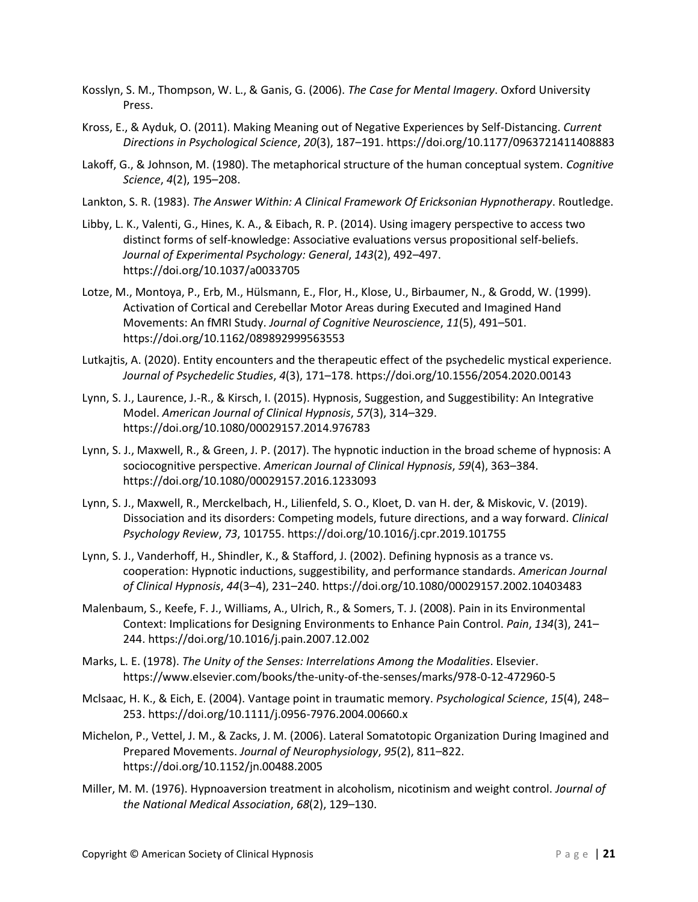- Kosslyn, S. M., Thompson, W. L., & Ganis, G. (2006). *The Case for Mental Imagery*. Oxford University Press.
- Kross, E., & Ayduk, O. (2011). Making Meaning out of Negative Experiences by Self-Distancing. *Current Directions in Psychological Science*, *20*(3), 187–191. https://doi.org/10.1177/0963721411408883
- Lakoff, G., & Johnson, M. (1980). The metaphorical structure of the human conceptual system. *Cognitive Science*, *4*(2), 195–208.
- Lankton, S. R. (1983). *The Answer Within: A Clinical Framework Of Ericksonian Hypnotherapy*. Routledge.
- Libby, L. K., Valenti, G., Hines, K. A., & Eibach, R. P. (2014). Using imagery perspective to access two distinct forms of self-knowledge: Associative evaluations versus propositional self-beliefs. *Journal of Experimental Psychology: General*, *143*(2), 492–497. https://doi.org/10.1037/a0033705
- Lotze, M., Montoya, P., Erb, M., Hülsmann, E., Flor, H., Klose, U., Birbaumer, N., & Grodd, W. (1999). Activation of Cortical and Cerebellar Motor Areas during Executed and Imagined Hand Movements: An fMRI Study. *Journal of Cognitive Neuroscience*, *11*(5), 491–501. https://doi.org/10.1162/089892999563553
- Lutkajtis, A. (2020). Entity encounters and the therapeutic effect of the psychedelic mystical experience. *Journal of Psychedelic Studies*, *4*(3), 171–178. https://doi.org/10.1556/2054.2020.00143
- Lynn, S. J., Laurence, J.-R., & Kirsch, I. (2015). Hypnosis, Suggestion, and Suggestibility: An Integrative Model. *American Journal of Clinical Hypnosis*, *57*(3), 314–329. https://doi.org/10.1080/00029157.2014.976783
- Lynn, S. J., Maxwell, R., & Green, J. P. (2017). The hypnotic induction in the broad scheme of hypnosis: A sociocognitive perspective. *American Journal of Clinical Hypnosis*, *59*(4), 363–384. https://doi.org/10.1080/00029157.2016.1233093
- Lynn, S. J., Maxwell, R., Merckelbach, H., Lilienfeld, S. O., Kloet, D. van H. der, & Miskovic, V. (2019). Dissociation and its disorders: Competing models, future directions, and a way forward. *Clinical Psychology Review*, *73*, 101755. https://doi.org/10.1016/j.cpr.2019.101755
- Lynn, S. J., Vanderhoff, H., Shindler, K., & Stafford, J. (2002). Defining hypnosis as a trance vs. cooperation: Hypnotic inductions, suggestibility, and performance standards. *American Journal of Clinical Hypnosis*, *44*(3–4), 231–240. https://doi.org/10.1080/00029157.2002.10403483
- Malenbaum, S., Keefe, F. J., Williams, A., Ulrich, R., & Somers, T. J. (2008). Pain in its Environmental Context: Implications for Designing Environments to Enhance Pain Control. *Pain*, *134*(3), 241– 244. https://doi.org/10.1016/j.pain.2007.12.002
- Marks, L. E. (1978). *The Unity of the Senses: Interrelations Among the Modalities*. Elsevier. https://www.elsevier.com/books/the-unity-of-the-senses/marks/978-0-12-472960-5
- Mclsaac, H. K., & Eich, E. (2004). Vantage point in traumatic memory. *Psychological Science*, *15*(4), 248– 253. https://doi.org/10.1111/j.0956-7976.2004.00660.x
- Michelon, P., Vettel, J. M., & Zacks, J. M. (2006). Lateral Somatotopic Organization During Imagined and Prepared Movements. *Journal of Neurophysiology*, *95*(2), 811–822. https://doi.org/10.1152/jn.00488.2005
- Miller, M. M. (1976). Hypnoaversion treatment in alcoholism, nicotinism and weight control. *Journal of the National Medical Association*, *68*(2), 129–130.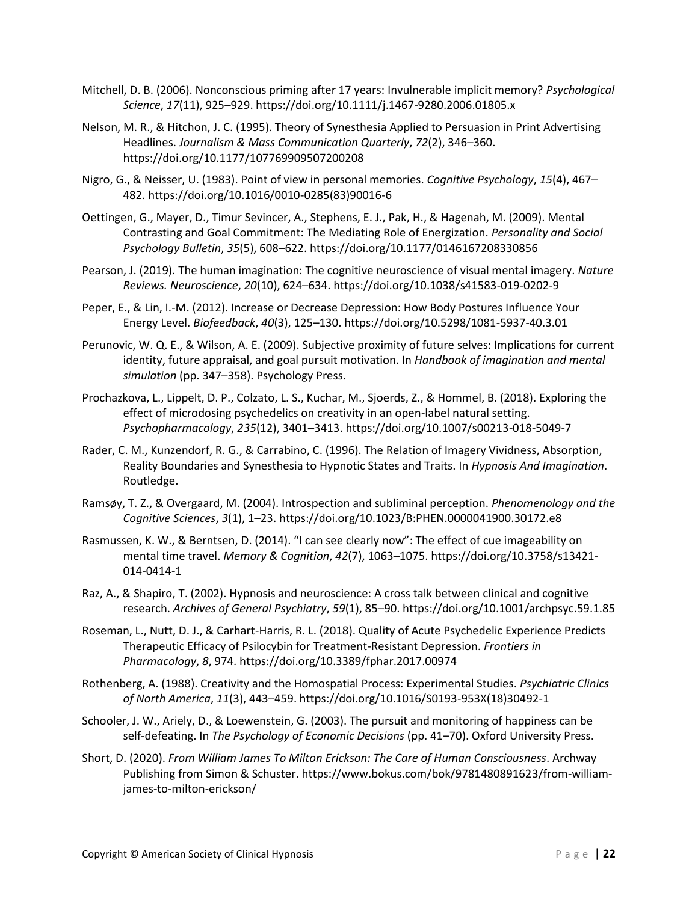- Mitchell, D. B. (2006). Nonconscious priming after 17 years: Invulnerable implicit memory? *Psychological Science*, *17*(11), 925–929. https://doi.org/10.1111/j.1467-9280.2006.01805.x
- Nelson, M. R., & Hitchon, J. C. (1995). Theory of Synesthesia Applied to Persuasion in Print Advertising Headlines. *Journalism & Mass Communication Quarterly*, *72*(2), 346–360. https://doi.org/10.1177/107769909507200208
- Nigro, G., & Neisser, U. (1983). Point of view in personal memories. *Cognitive Psychology*, *15*(4), 467– 482. https://doi.org/10.1016/0010-0285(83)90016-6
- Oettingen, G., Mayer, D., Timur Sevincer, A., Stephens, E. J., Pak, H., & Hagenah, M. (2009). Mental Contrasting and Goal Commitment: The Mediating Role of Energization. *Personality and Social Psychology Bulletin*, *35*(5), 608–622. https://doi.org/10.1177/0146167208330856
- Pearson, J. (2019). The human imagination: The cognitive neuroscience of visual mental imagery. *Nature Reviews. Neuroscience*, *20*(10), 624–634. https://doi.org/10.1038/s41583-019-0202-9
- Peper, E., & Lin, I.-M. (2012). Increase or Decrease Depression: How Body Postures Influence Your Energy Level. *Biofeedback*, *40*(3), 125–130. https://doi.org/10.5298/1081-5937-40.3.01
- Perunovic, W. Q. E., & Wilson, A. E. (2009). Subjective proximity of future selves: Implications for current identity, future appraisal, and goal pursuit motivation. In *Handbook of imagination and mental simulation* (pp. 347–358). Psychology Press.
- Prochazkova, L., Lippelt, D. P., Colzato, L. S., Kuchar, M., Sjoerds, Z., & Hommel, B. (2018). Exploring the effect of microdosing psychedelics on creativity in an open-label natural setting. *Psychopharmacology*, *235*(12), 3401–3413. https://doi.org/10.1007/s00213-018-5049-7
- Rader, C. M., Kunzendorf, R. G., & Carrabino, C. (1996). The Relation of Imagery Vividness, Absorption, Reality Boundaries and Synesthesia to Hypnotic States and Traits. In *Hypnosis And Imagination*. Routledge.
- Ramsøy, T. Z., & Overgaard, M. (2004). Introspection and subliminal perception. *Phenomenology and the Cognitive Sciences*, *3*(1), 1–23. https://doi.org/10.1023/B:PHEN.0000041900.30172.e8
- Rasmussen, K. W., & Berntsen, D. (2014). "I can see clearly now": The effect of cue imageability on mental time travel. *Memory & Cognition*, *42*(7), 1063–1075. https://doi.org/10.3758/s13421- 014-0414-1
- Raz, A., & Shapiro, T. (2002). Hypnosis and neuroscience: A cross talk between clinical and cognitive research. *Archives of General Psychiatry*, *59*(1), 85–90. https://doi.org/10.1001/archpsyc.59.1.85
- Roseman, L., Nutt, D. J., & Carhart-Harris, R. L. (2018). Quality of Acute Psychedelic Experience Predicts Therapeutic Efficacy of Psilocybin for Treatment-Resistant Depression. *Frontiers in Pharmacology*, *8*, 974. https://doi.org/10.3389/fphar.2017.00974
- Rothenberg, A. (1988). Creativity and the Homospatial Process: Experimental Studies. *Psychiatric Clinics of North America*, *11*(3), 443–459. https://doi.org/10.1016/S0193-953X(18)30492-1
- Schooler, J. W., Ariely, D., & Loewenstein, G. (2003). The pursuit and monitoring of happiness can be self-defeating. In *The Psychology of Economic Decisions* (pp. 41–70). Oxford University Press.
- Short, D. (2020). *From William James To Milton Erickson: The Care of Human Consciousness*. Archway Publishing from Simon & Schuster. https://www.bokus.com/bok/9781480891623/from-williamjames-to-milton-erickson/